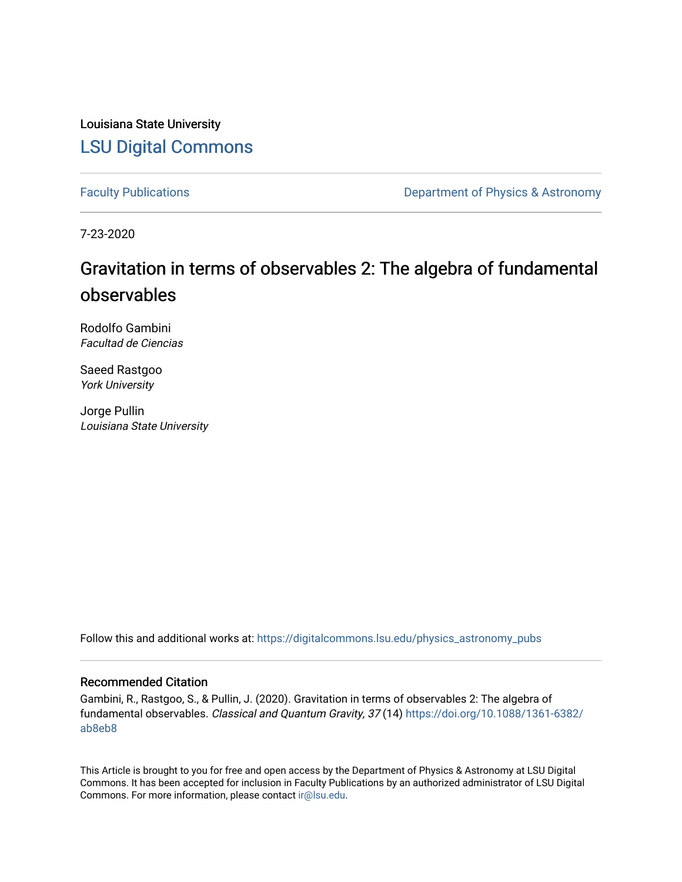Louisiana State University [LSU Digital Commons](https://digitalcommons.lsu.edu/)

[Faculty Publications](https://digitalcommons.lsu.edu/physics_astronomy_pubs) **Exercise 2 and Table 2 and Table 2 and Table 2 and Table 2 and Table 2 and Table 2 and Table 2 and Table 2 and Table 2 and Table 2 and Table 2 and Table 2 and Table 2 and Table 2 and Table 2 and Table** 

7-23-2020

# Gravitation in terms of observables 2: The algebra of fundamental observables

Rodolfo Gambini Facultad de Ciencias

Saeed Rastgoo York University

Jorge Pullin Louisiana State University

Follow this and additional works at: [https://digitalcommons.lsu.edu/physics\\_astronomy\\_pubs](https://digitalcommons.lsu.edu/physics_astronomy_pubs?utm_source=digitalcommons.lsu.edu%2Fphysics_astronomy_pubs%2F4303&utm_medium=PDF&utm_campaign=PDFCoverPages) 

## Recommended Citation

Gambini, R., Rastgoo, S., & Pullin, J. (2020). Gravitation in terms of observables 2: The algebra of fundamental observables. Classical and Quantum Gravity, 37 (14) [https://doi.org/10.1088/1361-6382/](https://doi.org/10.1088/1361-6382/ab8eb8) [ab8eb8](https://doi.org/10.1088/1361-6382/ab8eb8)

This Article is brought to you for free and open access by the Department of Physics & Astronomy at LSU Digital Commons. It has been accepted for inclusion in Faculty Publications by an authorized administrator of LSU Digital Commons. For more information, please contact [ir@lsu.edu](mailto:ir@lsu.edu).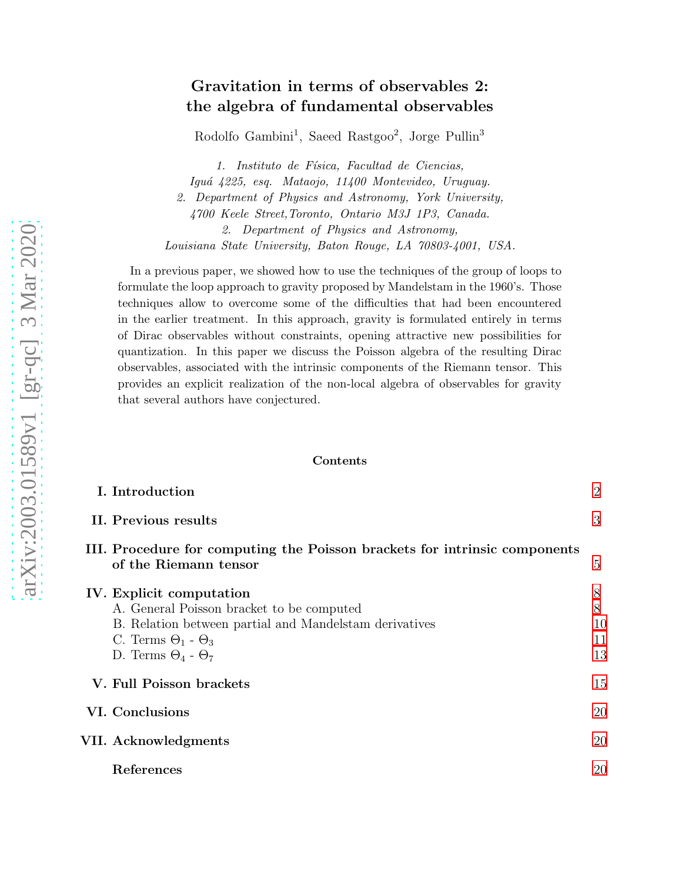# Gravitation in terms of observables 2: the algebra of fundamental observables

Rodolfo Gambini<sup>1</sup>, Saeed Rastgoo<sup>2</sup>, Jorge Pullin<sup>3</sup>

1. Instituto de Física, Facultad de Ciencias, Igu´a 4225, esq. Mataojo, 11400 Montevideo, Uruguay. 2. Department of Physics and Astronomy, York University, 4700 Keele Street,Toronto, Ontario M3J 1P3, Canada. 2. Department of Physics and Astronomy, Louisiana State University, Baton Rouge, LA 70803-4001, USA.

In a previous paper, we showed how to use the techniques of the group of loops to formulate the loop approach to gravity proposed by Mandelstam in the 1960's. Those techniques allow to overcome some of the difficulties that had been encountered in the earlier treatment. In this approach, gravity is formulated entirely in terms of Dirac observables without constraints, opening attractive new possibilities for quantization. In this paper we discuss the Poisson algebra of the resulting Dirac observables, associated with the intrinsic components of the Riemann tensor. This provides an explicit realization of the non-local algebra of observables for gravity that several authors have conjectured.

#### Contents

| I. Introduction                                                                                                                                                                                         | $\overline{2}$           |
|---------------------------------------------------------------------------------------------------------------------------------------------------------------------------------------------------------|--------------------------|
| II. Previous results                                                                                                                                                                                    | 3                        |
| III. Procedure for computing the Poisson brackets for intrinsic components<br>of the Riemann tensor                                                                                                     | 5                        |
| IV. Explicit computation<br>A. General Poisson bracket to be computed<br>B. Relation between partial and Mandelstam derivatives<br>C. Terms $\Theta_1$ - $\Theta_3$<br>D. Terms $\Theta_4$ - $\Theta_7$ | 8<br>8<br>10<br>11<br>13 |
| V. Full Poisson brackets                                                                                                                                                                                | 15                       |
| VI. Conclusions                                                                                                                                                                                         | 20                       |
| VII. Acknowledgments                                                                                                                                                                                    | 20                       |
| References                                                                                                                                                                                              | 20                       |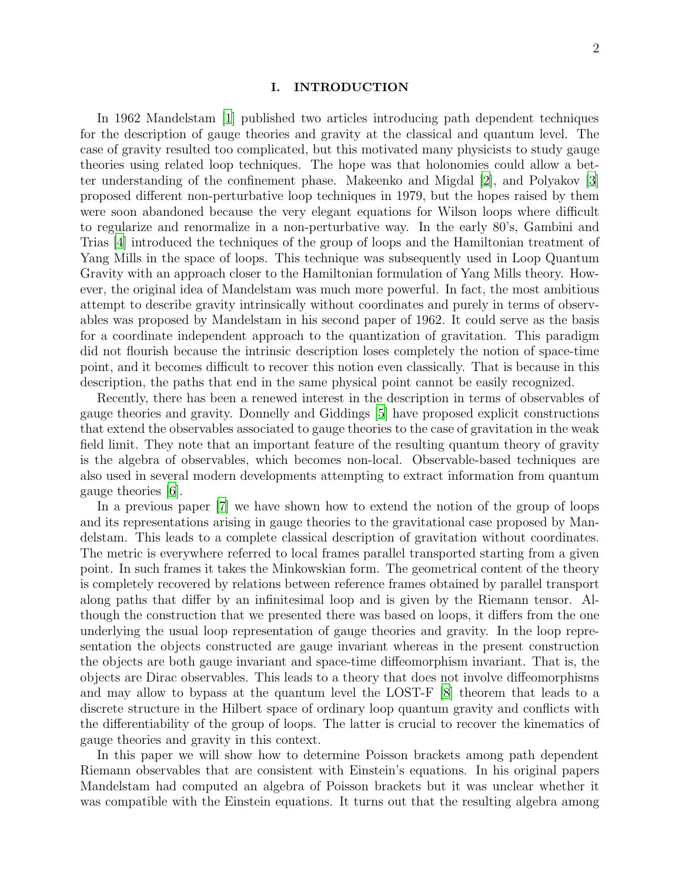#### <span id="page-2-0"></span>I. INTRODUCTION

In 1962 Mandelstam [\[1](#page-20-3)] published two articles introducing path dependent techniques for the description of gauge theories and gravity at the classical and quantum level. The case of gravity resulted too complicated, but this motivated many physicists to study gauge theories using related loop techniques. The hope was that holonomies could allow a better understanding of the confinement phase. Makeenko and Migdal [\[2\]](#page-20-4), and Polyakov [\[3\]](#page-20-5) proposed different non-perturbative loop techniques in 1979, but the hopes raised by them were soon abandoned because the very elegant equations for Wilson loops where difficult to regularize and renormalize in a non-perturbative way. In the early 80's, Gambini and Trias [\[4\]](#page-20-6) introduced the techniques of the group of loops and the Hamiltonian treatment of Yang Mills in the space of loops. This technique was subsequently used in Loop Quantum Gravity with an approach closer to the Hamiltonian formulation of Yang Mills theory. However, the original idea of Mandelstam was much more powerful. In fact, the most ambitious attempt to describe gravity intrinsically without coordinates and purely in terms of observables was proposed by Mandelstam in his second paper of 1962. It could serve as the basis for a coordinate independent approach to the quantization of gravitation. This paradigm did not flourish because the intrinsic description loses completely the notion of space-time point, and it becomes difficult to recover this notion even classically. That is because in this description, the paths that end in the same physical point cannot be easily recognized.

Recently, there has been a renewed interest in the description in terms of observables of gauge theories and gravity. Donnelly and Giddings [\[5](#page-20-7)] have proposed explicit constructions that extend the observables associated to gauge theories to the case of gravitation in the weak field limit. They note that an important feature of the resulting quantum theory of gravity is the algebra of observables, which becomes non-local. Observable-based techniques are also used in several modern developments attempting to extract information from quantum gauge theories [\[6\]](#page-20-8).

In a previous paper [\[7\]](#page-20-9) we have shown how to extend the notion of the group of loops and its representations arising in gauge theories to the gravitational case proposed by Mandelstam. This leads to a complete classical description of gravitation without coordinates. The metric is everywhere referred to local frames parallel transported starting from a given point. In such frames it takes the Minkowskian form. The geometrical content of the theory is completely recovered by relations between reference frames obtained by parallel transport along paths that differ by an infinitesimal loop and is given by the Riemann tensor. Although the construction that we presented there was based on loops, it differs from the one underlying the usual loop representation of gauge theories and gravity. In the loop representation the objects constructed are gauge invariant whereas in the present construction the objects are both gauge invariant and space-time diffeomorphism invariant. That is, the objects are Dirac observables. This leads to a theory that does not involve diffeomorphisms and may allow to bypass at the quantum level the LOST-F [\[8](#page-21-0)] theorem that leads to a discrete structure in the Hilbert space of ordinary loop quantum gravity and conflicts with the differentiability of the group of loops. The latter is crucial to recover the kinematics of gauge theories and gravity in this context.

In this paper we will show how to determine Poisson brackets among path dependent Riemann observables that are consistent with Einstein's equations. In his original papers Mandelstam had computed an algebra of Poisson brackets but it was unclear whether it was compatible with the Einstein equations. It turns out that the resulting algebra among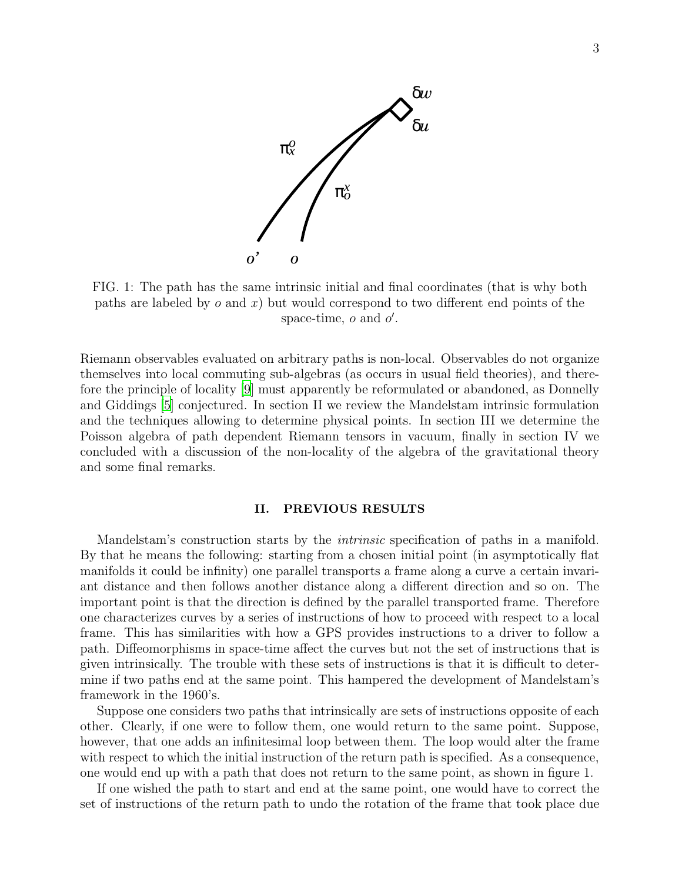

FIG. 1: The path has the same intrinsic initial and final coordinates (that is why both paths are labeled by  $o$  and  $x$ ) but would correspond to two different end points of the space-time,  $o$  and  $o'$ .

Riemann observables evaluated on arbitrary paths is non-local. Observables do not organize themselves into local commuting sub-algebras (as occurs in usual field theories), and therefore the principle of locality [\[9](#page-21-1)] must apparently be reformulated or abandoned, as Donnelly and Giddings [\[5](#page-20-7)] conjectured. In section II we review the Mandelstam intrinsic formulation and the techniques allowing to determine physical points. In section III we determine the Poisson algebra of path dependent Riemann tensors in vacuum, finally in section IV we concluded with a discussion of the non-locality of the algebra of the gravitational theory and some final remarks.

#### <span id="page-3-0"></span>II. PREVIOUS RESULTS

Mandelstam's construction starts by the *intrinsic* specification of paths in a manifold. By that he means the following: starting from a chosen initial point (in asymptotically flat manifolds it could be infinity) one parallel transports a frame along a curve a certain invariant distance and then follows another distance along a different direction and so on. The important point is that the direction is defined by the parallel transported frame. Therefore one characterizes curves by a series of instructions of how to proceed with respect to a local frame. This has similarities with how a GPS provides instructions to a driver to follow a path. Diffeomorphisms in space-time affect the curves but not the set of instructions that is given intrinsically. The trouble with these sets of instructions is that it is difficult to determine if two paths end at the same point. This hampered the development of Mandelstam's framework in the 1960's.

Suppose one considers two paths that intrinsically are sets of instructions opposite of each other. Clearly, if one were to follow them, one would return to the same point. Suppose, however, that one adds an infinitesimal loop between them. The loop would alter the frame with respect to which the initial instruction of the return path is specified. As a consequence, one would end up with a path that does not return to the same point, as shown in figure 1.

If one wished the path to start and end at the same point, one would have to correct the set of instructions of the return path to undo the rotation of the frame that took place due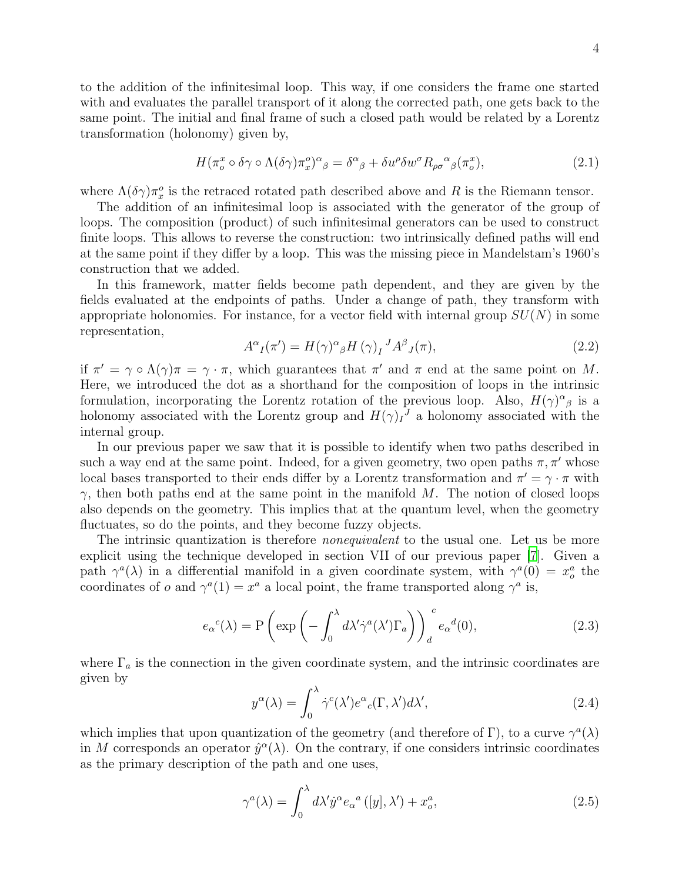to the addition of the infinitesimal loop. This way, if one considers the frame one started with and evaluates the parallel transport of it along the corrected path, one gets back to the same point. The initial and final frame of such a closed path would be related by a Lorentz transformation (holonomy) given by,

$$
H(\pi_o^x \circ \delta \gamma \circ \Lambda(\delta \gamma) \pi_x^o)^{\alpha}{}_{\beta} = \delta^{\alpha}{}_{\beta} + \delta u^{\rho} \delta w^{\sigma} R_{\rho \sigma}{}^{\alpha}{}_{\beta} (\pi_o^x), \tag{2.1}
$$

where  $\Lambda(\delta\gamma)\pi_x^o$  is the retraced rotated path described above and R is the Riemann tensor.

The addition of an infinitesimal loop is associated with the generator of the group of loops. The composition (product) of such infinitesimal generators can be used to construct finite loops. This allows to reverse the construction: two intrinsically defined paths will end at the same point if they differ by a loop. This was the missing piece in Mandelstam's 1960's construction that we added.

In this framework, matter fields become path dependent, and they are given by the fields evaluated at the endpoints of paths. Under a change of path, they transform with appropriate holonomies. For instance, for a vector field with internal group  $SU(N)$  in some representation,

$$
A^{\alpha}{}_{I}(\pi') = H(\gamma)^{\alpha}{}_{\beta}H(\gamma){}_{I}{}^{J}A^{\beta}{}_{J}(\pi), \qquad (2.2)
$$

if  $\pi' = \gamma \circ \Lambda(\gamma)\pi = \gamma \cdot \pi$ , which guarantees that  $\pi'$  and  $\pi$  end at the same point on M. Here, we introduced the dot as a shorthand for the composition of loops in the intrinsic formulation, incorporating the Lorentz rotation of the previous loop. Also,  $H(\gamma)_{\alpha\beta}^{\alpha}$  is a holonomy associated with the Lorentz group and  $H(\gamma)$ <sup>J</sup> a holonomy associated with the internal group.

In our previous paper we saw that it is possible to identify when two paths described in such a way end at the same point. Indeed, for a given geometry, two open paths  $\pi, \pi'$  whose local bases transported to their ends differ by a Lorentz transformation and  $\pi' = \gamma \cdot \pi$  with  $\gamma$ , then both paths end at the same point in the manifold M. The notion of closed loops also depends on the geometry. This implies that at the quantum level, when the geometry fluctuates, so do the points, and they become fuzzy objects.

The intrinsic quantization is therefore *nonequivalent* to the usual one. Let us be more explicit using the technique developed in section VII of our previous paper [\[7](#page-20-9)]. Given a path  $\gamma^a(\lambda)$  in a differential manifold in a given coordinate system, with  $\gamma^a(0) = x_o^a$  the coordinates of o and  $\gamma^a(1) = x^a$  a local point, the frame transported along  $\gamma^a$  is,

$$
e_{\alpha}{}^{c}(\lambda) = P\left(\exp\left(-\int_{0}^{\lambda} d\lambda' \dot{\gamma}^{a}(\lambda') \Gamma_{a}\right)\right)_{d}^{c} e_{\alpha}{}^{d}(0), \qquad (2.3)
$$

where  $\Gamma_a$  is the connection in the given coordinate system, and the intrinsic coordinates are given by

$$
y^{\alpha}(\lambda) = \int_0^{\lambda} \dot{\gamma}^c(\lambda') e^{\alpha}{}_{c}(\Gamma, \lambda') d\lambda', \tag{2.4}
$$

which implies that upon quantization of the geometry (and therefore of  $\Gamma$ ), to a curve  $\gamma^a(\lambda)$ in M corresponds an operator  $\hat{y}^{\alpha}(\lambda)$ . On the contrary, if one considers intrinsic coordinates as the primary description of the path and one uses,

$$
\gamma^{a}(\lambda) = \int_{0}^{\lambda} d\lambda' \dot{y}^{\alpha} e_{\alpha}{}^{a}([y], \lambda') + x_{o}^{a}, \qquad (2.5)
$$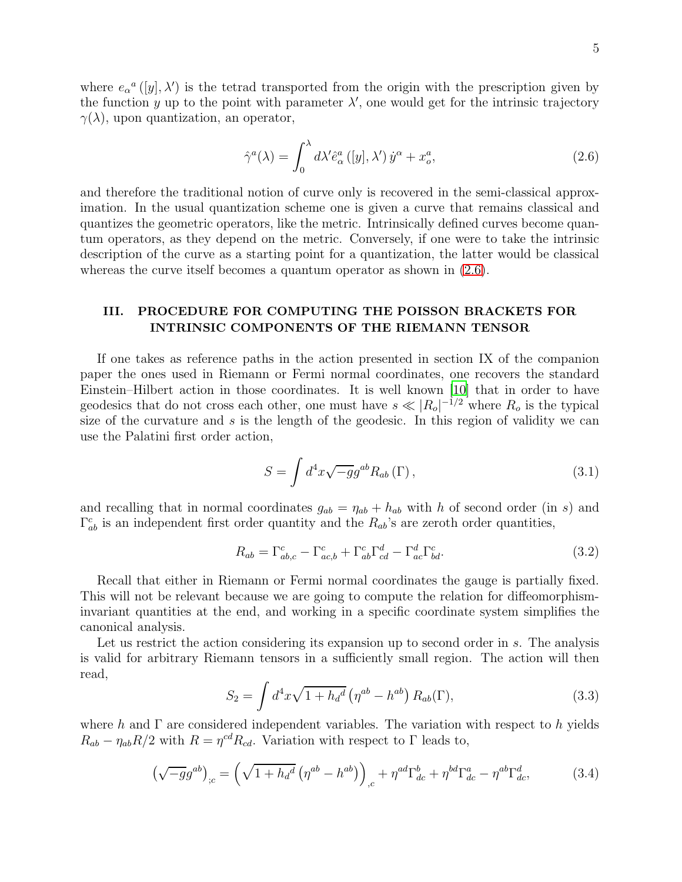where  $e_{\alpha}{}^{a}([y], \lambda')$  is the tetrad transported from the origin with the prescription given by the function y up to the point with parameter  $\lambda'$ , one would get for the intrinsic trajectory  $\gamma(\lambda)$ , upon quantization, an operator,

<span id="page-5-1"></span>
$$
\hat{\gamma}^a(\lambda) = \int_0^{\lambda} d\lambda' \hat{e}^a_{\alpha} ([y], \lambda') \, \dot{y}^{\alpha} + x_o^a,\tag{2.6}
$$

and therefore the traditional notion of curve only is recovered in the semi-classical approximation. In the usual quantization scheme one is given a curve that remains classical and quantizes the geometric operators, like the metric. Intrinsically defined curves become quantum operators, as they depend on the metric. Conversely, if one were to take the intrinsic description of the curve as a starting point for a quantization, the latter would be classical whereas the curve itself becomes a quantum operator as shown in [\(2.6\)](#page-5-1).

# <span id="page-5-0"></span>III. PROCEDURE FOR COMPUTING THE POISSON BRACKETS FOR INTRINSIC COMPONENTS OF THE RIEMANN TENSOR

If one takes as reference paths in the action presented in section IX of the companion paper the ones used in Riemann or Fermi normal coordinates, one recovers the standard Einstein–Hilbert action in those coordinates. It is well known [\[10\]](#page-21-2) that in order to have geodesics that do not cross each other, one must have  $s \ll |R_o|^{-1/2}$  where  $R_o$  is the typical size of the curvature and  $s$  is the length of the geodesic. In this region of validity we can use the Palatini first order action,

$$
S = \int d^4x \sqrt{-g} g^{ab} R_{ab} (\Gamma) , \qquad (3.1)
$$

and recalling that in normal coordinates  $g_{ab} = \eta_{ab} + h_{ab}$  with h of second order (in s) and  $\Gamma^c_{ab}$  is an independent first order quantity and the  $R_{ab}$ 's are zeroth order quantities,

$$
R_{ab} = \Gamma_{ab,c}^c - \Gamma_{ac,b}^c + \Gamma_{ab}^c \Gamma_{cd}^d - \Gamma_{ac}^d \Gamma_{bd}^c.
$$
 (3.2)

Recall that either in Riemann or Fermi normal coordinates the gauge is partially fixed. This will not be relevant because we are going to compute the relation for diffeomorphisminvariant quantities at the end, and working in a specific coordinate system simplifies the canonical analysis.

Let us restrict the action considering its expansion up to second order in s. The analysis is valid for arbitrary Riemann tensors in a sufficiently small region. The action will then read,

$$
S_2 = \int d^4x \sqrt{1 + h_d^d} \left( \eta^{ab} - h^{ab} \right) R_{ab}(\Gamma), \tag{3.3}
$$

where h and  $\Gamma$  are considered independent variables. The variation with respect to h yields  $R_{ab} - \eta_{ab} R/2$  with  $R = \eta^{cd} R_{cd}$ . Variation with respect to  $\Gamma$  leads to,

$$
\left(\sqrt{-g}g^{ab}\right)_{;c} = \left(\sqrt{1+h_d^d}\left(\eta^{ab} - h^{ab}\right)\right)_{,c} + \eta^{ad}\Gamma^b_{dc} + \eta^{bd}\Gamma^a_{dc} - \eta^{ab}\Gamma^d_{dc},\tag{3.4}
$$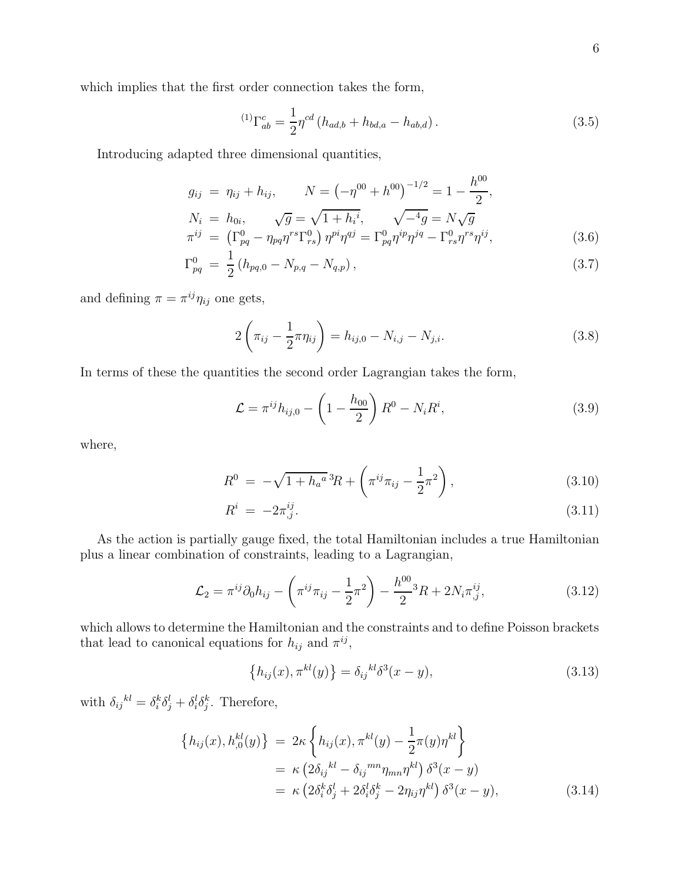which implies that the first order connection takes the form,

$$
{}^{(1)}\Gamma^{c}_{ab} = \frac{1}{2} \eta^{cd} \left( h_{ad,b} + h_{bd,a} - h_{ab,d} \right). \tag{3.5}
$$

Introducing adapted three dimensional quantities,

$$
g_{ij} = \eta_{ij} + h_{ij}, \qquad N = \left(-\eta^{00} + h^{00}\right)^{-1/2} = 1 - \frac{h^{00}}{2},
$$
  
\n
$$
N_i = h_{0i}, \qquad \sqrt{g} = \sqrt{1 + h_i^i}, \qquad \sqrt{-^4g} = N\sqrt{g}
$$
  
\n
$$
\pi^{ij} = \left(\Gamma^0_{pq} - \eta_{pq}\eta^{rs}\Gamma^0_{rs}\right)\eta^{pi}\eta^{aj} = \Gamma^0_{pq}\eta^{ip}\eta^{jq} - \Gamma^0_{rs}\eta^{rs}\eta^{ij},
$$
\n(3.6)

$$
\Gamma_{pq}^{0} = \frac{1}{2} (h_{pq,0} - N_{p,q} - N_{q,p}), \qquad (3.7)
$$

and defining  $\pi = \pi^{ij} \eta_{ij}$  one gets,

$$
2\left(\pi_{ij} - \frac{1}{2}\pi\eta_{ij}\right) = h_{ij,0} - N_{i,j} - N_{j,i}.
$$
\n(3.8)

In terms of these the quantities the second order Lagrangian takes the form,

$$
\mathcal{L} = \pi^{ij} h_{ij,0} - \left(1 - \frac{h_{00}}{2}\right) R^0 - N_i R^i, \tag{3.9}
$$

where,

$$
R^{0} = -\sqrt{1 + h_{a}^{a}}^{3}R + \left(\pi^{ij}\pi_{ij} - \frac{1}{2}\pi^{2}\right), \qquad (3.10)
$$

$$
R^i = -2\pi_{,j}^{ij}.\tag{3.11}
$$

As the action is partially gauge fixed, the total Hamiltonian includes a true Hamiltonian plus a linear combination of constraints, leading to a Lagrangian,

$$
\mathcal{L}_2 = \pi^{ij} \partial_0 h_{ij} - \left( \pi^{ij} \pi_{ij} - \frac{1}{2} \pi^2 \right) - \frac{h^{00}}{2} {}^3R + 2N_i \pi^{ij}_{,j}, \tag{3.12}
$$

which allows to determine the Hamiltonian and the constraints and to define Poisson brackets that lead to canonical equations for  $h_{ij}$  and  $\pi^{ij}$ ,

$$
\left\{ h_{ij}(x), \pi^{kl}(y) \right\} = \delta_{ij}{}^{kl} \delta^3(x - y), \tag{3.13}
$$

with  $\delta_{ij}{}^{kl} = \delta_i^k \delta_j^l + \delta_i^l \delta_j^k$ . Therefore,

<span id="page-6-0"></span>
$$
\{h_{ij}(x), h_{,0}^{kl}(y)\} = 2\kappa \left\{h_{ij}(x), \pi^{kl}(y) - \frac{1}{2}\pi(y)\eta^{kl}\right\}
$$
  
=  $\kappa (2\delta_{ij}^{kl} - \delta_{ij}^{mn}\eta_{mn}\eta^{kl}) \delta^{3}(x - y)$   
=  $\kappa (2\delta_{i}^{k}\delta_{j}^{l} + 2\delta_{i}^{l}\delta_{j}^{k} - 2\eta_{ij}\eta^{kl}) \delta^{3}(x - y),$  (3.14)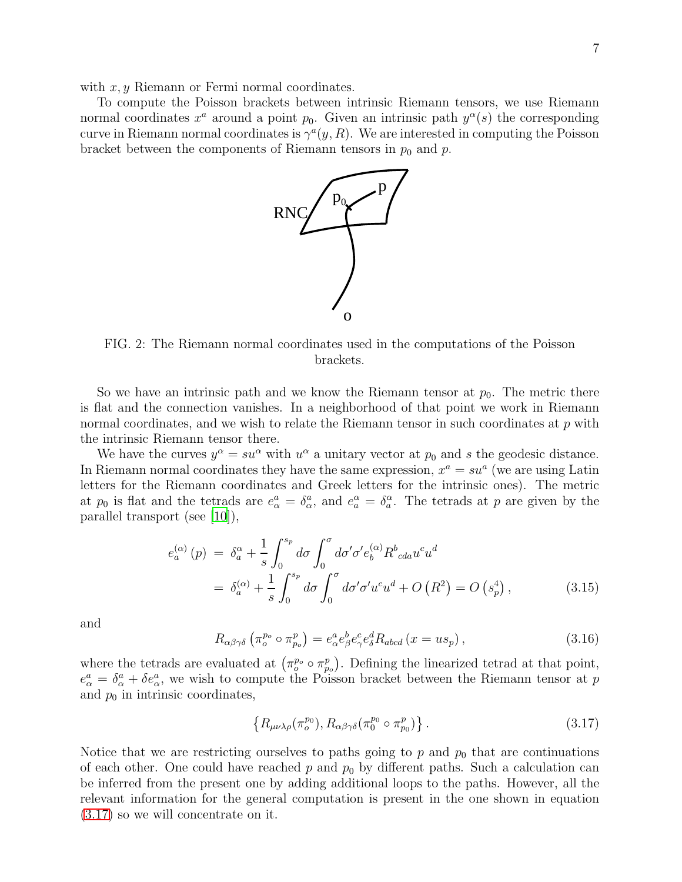To compute the Poisson brackets between intrinsic Riemann tensors, we use Riemann normal coordinates  $x^a$  around a point  $p_0$ . Given an intrinsic path  $y^{\alpha}(s)$  the corresponding curve in Riemann normal coordinates is  $\gamma^a(y, R)$ . We are interested in computing the Poisson bracket between the components of Riemann tensors in  $p_0$  and p.



FIG. 2: The Riemann normal coordinates used in the computations of the Poisson brackets.

So we have an intrinsic path and we know the Riemann tensor at  $p_0$ . The metric there is flat and the connection vanishes. In a neighborhood of that point we work in Riemann normal coordinates, and we wish to relate the Riemann tensor in such coordinates at p with the intrinsic Riemann tensor there.

We have the curves  $y^{\alpha} = s u^{\alpha}$  with  $u^{\alpha}$  a unitary vector at  $p_0$  and s the geodesic distance. In Riemann normal coordinates they have the same expression,  $x^a = su^a$  (we are using Latin letters for the Riemann coordinates and Greek letters for the intrinsic ones). The metric at  $p_0$  is flat and the tetrads are  $e^a_\alpha = \delta^a_\alpha$ , and  $e^\alpha_a = \delta^a_a$ . The tetrads at p are given by the parallel transport (see [\[10\]](#page-21-2)),

$$
e_a^{(\alpha)}(p) = \delta_a^{\alpha} + \frac{1}{s} \int_0^{s_p} d\sigma \int_0^{\sigma} d\sigma' \sigma' e_b^{(\alpha)} R^b{}_{cda} u^c u^d
$$
  
=  $\delta_a^{(\alpha)} + \frac{1}{s} \int_0^{s_p} d\sigma \int_0^{\sigma} d\sigma' \sigma' u^c u^d + O(R^2) = O(s_p^4)$ , (3.15)

and

$$
R_{\alpha\beta\gamma\delta} \left( \pi^{p_o}_o \circ \pi^p_{p_o} \right) = e^a_\alpha e^b_\beta e^c_\gamma e^d_\delta R_{abcd} \left( x = u s_p \right), \tag{3.16}
$$

where the tetrads are evaluated at  $(\pi^{p_o}_{\rho} \circ \pi^{p}_{p_o})$ . Defining the linearized tetrad at that point,  $e^a_\alpha = \delta^a_\alpha + \delta e^a_\alpha$ , we wish to compute the Poisson bracket between the Riemann tensor at p and  $p_0$  in intrinsic coordinates,

<span id="page-7-0"></span>
$$
\{R_{\mu\nu\lambda\rho}(\pi_o^{p_0}), R_{\alpha\beta\gamma\delta}(\pi_0^{p_0} \circ \pi_{p_0}^p)\}.
$$
 (3.17)

Notice that we are restricting ourselves to paths going to  $p$  and  $p_0$  that are continuations of each other. One could have reached  $p$  and  $p_0$  by different paths. Such a calculation can be inferred from the present one by adding additional loops to the paths. However, all the relevant information for the general computation is present in the one shown in equation [\(3.17\)](#page-7-0) so we will concentrate on it.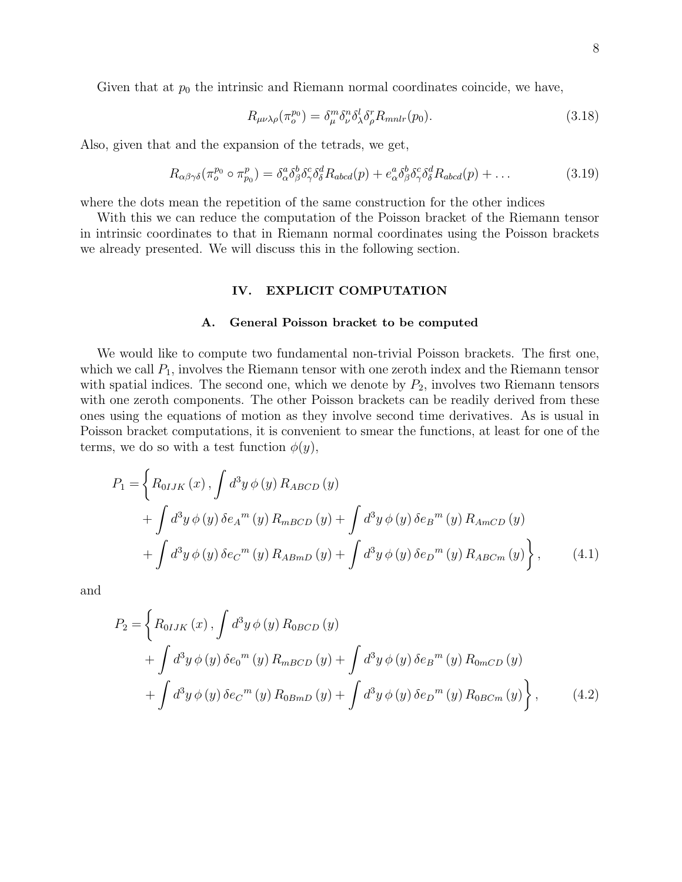Given that at  $p_0$  the intrinsic and Riemann normal coordinates coincide, we have,

$$
R_{\mu\nu\lambda\rho}(\pi_o^{p_0}) = \delta_\mu^m \delta_\nu^n \delta_\lambda^l \delta_\rho^r R_{mnlr}(p_0). \tag{3.18}
$$

Also, given that and the expansion of the tetrads, we get,

<span id="page-8-3"></span>
$$
R_{\alpha\beta\gamma\delta}(\pi^{p_0}_{o} \circ \pi^{p}_{p_0}) = \delta^a_{\alpha} \delta^b_{\beta} \delta^c_{\gamma} \delta^d_{\delta} R_{abcd}(p) + e^a_{\alpha} \delta^b_{\beta} \delta^c_{\gamma} \delta^d_{\delta} R_{abcd}(p) + \dots \tag{3.19}
$$

where the dots mean the repetition of the same construction for the other indices

With this we can reduce the computation of the Poisson bracket of the Riemann tensor in intrinsic coordinates to that in Riemann normal coordinates using the Poisson brackets we already presented. We will discuss this in the following section.

#### <span id="page-8-2"></span><span id="page-8-0"></span>IV. EXPLICIT COMPUTATION

#### <span id="page-8-1"></span>A. General Poisson bracket to be computed

We would like to compute two fundamental non-trivial Poisson brackets. The first one, which we call  $P_1$ , involves the Riemann tensor with one zeroth index and the Riemann tensor with spatial indices. The second one, which we denote by  $P_2$ , involves two Riemann tensors with one zeroth components. The other Poisson brackets can be readily derived from these ones using the equations of motion as they involve second time derivatives. As is usual in Poisson bracket computations, it is convenient to smear the functions, at least for one of the terms, we do so with a test function  $\phi(y)$ ,

$$
P_{1} = \left\{ R_{0IJK}(x), \int d^{3}y \, \phi(y) R_{ABCD}(y) + \int d^{3}y \, \phi(y) \, \delta e_{A}{}^{m}(y) R_{mBCD}(y) + \int d^{3}y \, \phi(y) \, \delta e_{B}{}^{m}(y) R_{AmCD}(y) + \int d^{3}y \, \phi(y) \, \delta e_{C}{}^{m}(y) R_{ABCD}(y) + \int d^{3}y \, \phi(y) \, \delta e_{D}{}^{m}(y) R_{ABCm}(y) \right\},
$$
\n(4.1)

and

$$
P_2 = \left\{ R_{0IJK}(x), \int d^3y \, \phi(y) \, R_{0BCD}(y) + \int d^3y \, \phi(y) \, \delta e_B{}^m(y) \, R_{0mCD}(y) + \int d^3y \, \phi(y) \, \delta e_B{}^m(y) \, R_{0mCD}(y) + \int d^3y \, \phi(y) \, \delta e_C{}^m(y) \, R_{0BmD}(y) + \int d^3y \, \phi(y) \, \delta e_D{}^m(y) \, R_{0BCm}(y) \right\},
$$
(4.2)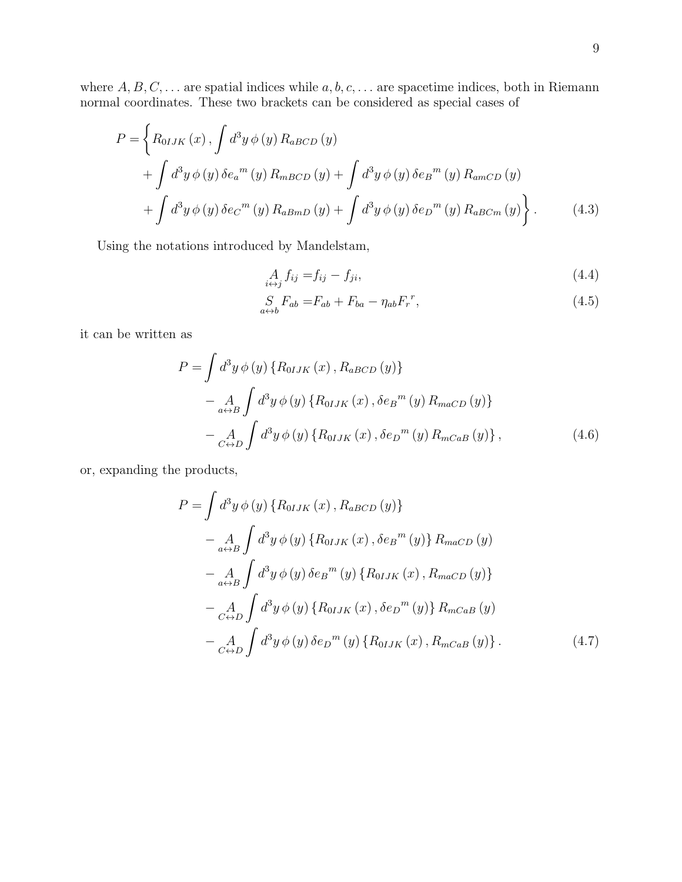where  $A, B, C, \ldots$  are spatial indices while  $a, b, c, \ldots$  are spacetime indices, both in Riemann normal coordinates. These two brackets can be considered as special cases of

$$
P = \left\{ R_{0IJK}(x), \int d^3y \phi(y) R_{aBCD}(y) + \int d^3y \phi(y) \delta e_B{}^m(y) R_{amCD}(y) + \int d^3y \phi(y) \delta e_B{}^m(y) R_{amCD}(y) + \int d^3y \phi(y) \delta e_C{}^m(y) R_{aBmD}(y) + \int d^3y \phi(y) \delta e_D{}^m(y) R_{aBCm}(y) \right\}.
$$
 (4.3)

Using the notations introduced by Mandelstam,

$$
A_{i \leftrightarrow j} f_{ij} = f_{ij} - f_{ji}, \tag{4.4}
$$

$$
\underset{a \leftrightarrow b}{S} F_{ab} = F_{ab} + F_{ba} - \eta_{ab} F_r^r,\tag{4.5}
$$

it can be written as

$$
P = \int d^{3}y \, \phi(y) \{ R_{0IJK}(x), R_{aBCD}(y) \} - \int_{a \leftrightarrow B} d^{3}y \, \phi(y) \{ R_{0IJK}(x), \delta e_{B}^{m}(y) R_{macD}(y) \} - \int_{C \leftrightarrow D} d^{3}y \, \phi(y) \{ R_{0IJK}(x), \delta e_{D}^{m}(y) R_{mcab}(y) \},
$$
(4.6)

or, expanding the products,

<span id="page-9-0"></span>
$$
P = \int d^{3}y \, \phi(y) \, \{R_{0IJK}(x), R_{aBCD}(y)\}
$$
  
\n
$$
- \, A_{a \leftrightarrow B} \int d^{3}y \, \phi(y) \, \{R_{0IJK}(x), \delta e_{B}{}^{m}(y)\} \, R_{maCD}(y)
$$
  
\n
$$
- \, A_{a \leftrightarrow B} \int d^{3}y \, \phi(y) \, \delta e_{B}{}^{m}(y) \, \{R_{0IJK}(x), R_{maCD}(y)\}
$$
  
\n
$$
- \, A_{C \leftrightarrow D} \int d^{3}y \, \phi(y) \, \{R_{0IJK}(x), \delta e_{D}{}^{m}(y)\} \, R_{mCaB}(y)
$$
  
\n
$$
- \, A_{C \leftrightarrow D} \int d^{3}y \, \phi(y) \, \delta e_{D}{}^{m}(y) \, \{R_{0IJK}(x), R_{mCaB}(y)\} \, . \tag{4.7}
$$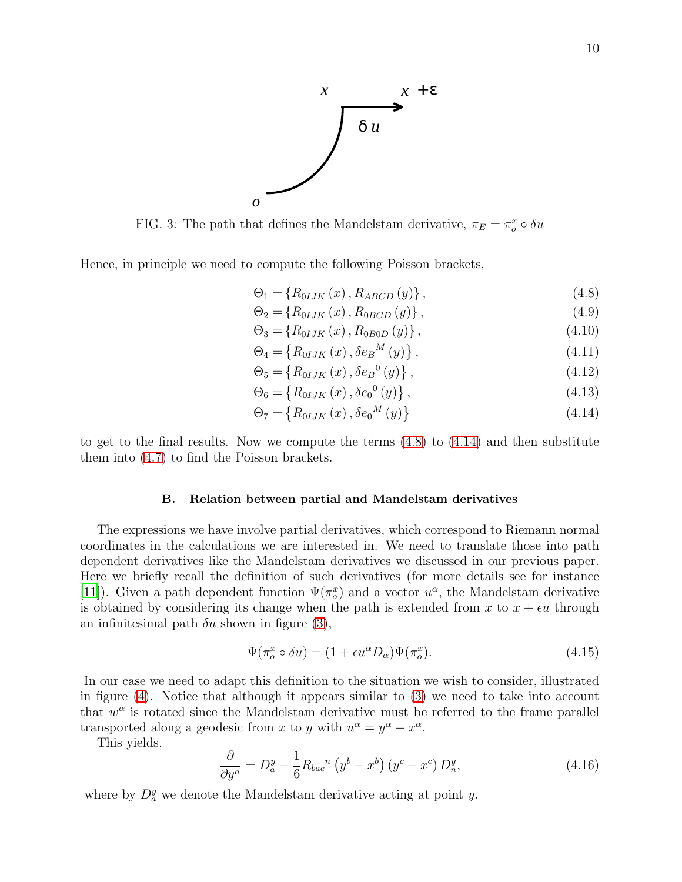

<span id="page-10-3"></span>FIG. 3: The path that defines the Mandelstam derivative,  $\pi_E = \pi_o^x \circ \delta u$ 

Hence, in principle we need to compute the following Poisson brackets,

$$
\Theta_{1} = \{R_{0IJK}(x), R_{ABCD}(y)\},\tag{4.8}
$$

<span id="page-10-5"></span><span id="page-10-4"></span><span id="page-10-1"></span>
$$
\Theta_2 = \{ R_{0IJK}(x), R_{0BCD}(y) \},\tag{4.9}
$$
\n
$$
\Theta = \{ R_{0IJK}(x), R_{0BCD}(y) \},\tag{4.10}
$$

$$
\Theta_3 = \{ R_{0IJK} (x), R_{0B0D} (y) \}, \tag{4.10}
$$

$$
\Theta_4 = \left\{ R_{0IJK} \left( x \right), \delta e_B{}^M \left( y \right) \right\},\tag{4.11}
$$

$$
\Theta_{5} = \left\{ R_{0IJK} (x), \delta e_{B}^{0} (y) \right\}, \tag{4.12}
$$

<span id="page-10-6"></span><span id="page-10-2"></span>
$$
\Theta_6 = \left\{ R_{0IJK} (x), \delta e_0^0 (y) \right\},\tag{4.13}
$$

$$
\Theta_7 = \left\{ R_{0IJK} \left( x \right), \delta e_0^M \left( y \right) \right\} \tag{4.14}
$$

to get to the final results. Now we compute the terms [\(4.8\)](#page-10-1) to [\(4.14\)](#page-10-2) and then substitute them into [\(4.7\)](#page-9-0) to find the Poisson brackets.

#### <span id="page-10-0"></span>B. Relation between partial and Mandelstam derivatives

The expressions we have involve partial derivatives, which correspond to Riemann normal coordinates in the calculations we are interested in. We need to translate those into path dependent derivatives like the Mandelstam derivatives we discussed in our previous paper. Here we briefly recall the definition of such derivatives (for more details see for instance [\[11\]](#page-21-3)). Given a path dependent function  $\Psi(\pi_o^x)$  and a vector  $u^{\alpha}$ , the Mandelstam derivative is obtained by considering its change when the path is extended from x to  $x + \epsilon u$  through an infinitesimal path  $\delta u$  shown in figure [\(3\)](#page-10-3),

$$
\Psi(\pi_o^x \circ \delta u) = (1 + \epsilon u^\alpha D_\alpha) \Psi(\pi_o^x). \tag{4.15}
$$

In our case we need to adapt this definition to the situation we wish to consider, illustrated in figure [\(4\)](#page-11-1). Notice that although it appears similar to [\(3\)](#page-10-3) we need to take into account that  $w^{\alpha}$  is rotated since the Mandelstam derivative must be referred to the frame parallel transported along a geodesic from x to y with  $u^{\alpha} = y^{\alpha} - x^{\alpha}$ .

This yields,

$$
\frac{\partial}{\partial y^a} = D_a^y - \frac{1}{6} R_{bac}{}^n \left( y^b - x^b \right) \left( y^c - x^c \right) D_n^y,\tag{4.16}
$$

where by  $D_a^y$  we denote the Mandelstam derivative acting at point y.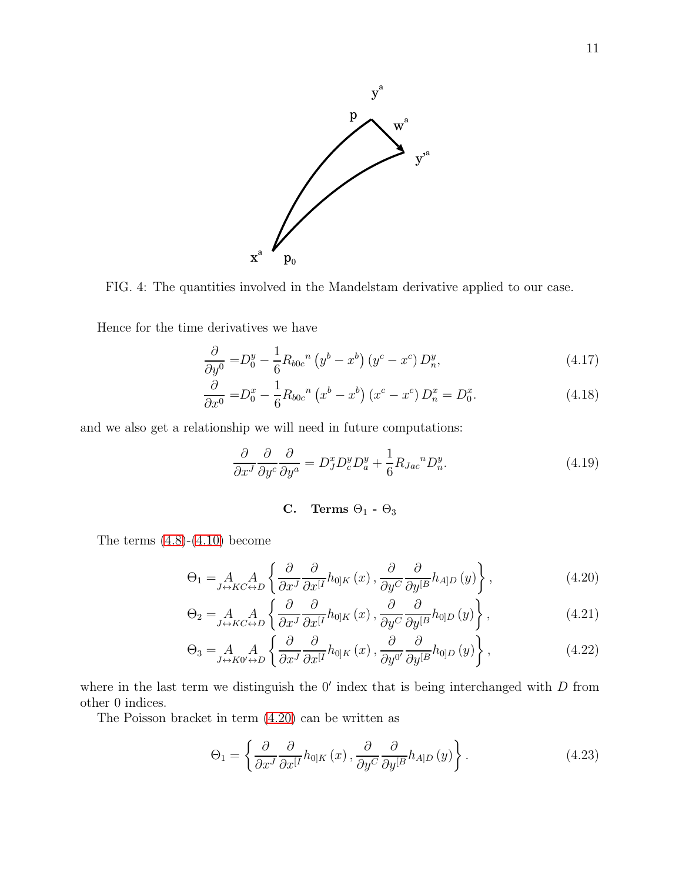

<span id="page-11-1"></span>FIG. 4: The quantities involved in the Mandelstam derivative applied to our case.

Hence for the time derivatives we have

$$
\frac{\partial}{\partial y^0} = D_0^y - \frac{1}{6} R_{b0c}^n \left( y^b - x^b \right) \left( y^c - x^c \right) D_n^y, \tag{4.17}
$$

$$
\frac{\partial}{\partial x^0} = D_0^x - \frac{1}{6} R_{b0c}^n (x^b - x^b) (x^c - x^c) D_n^x = D_0^x.
$$
 (4.18)

and we also get a relationship we will need in future computations:

<span id="page-11-3"></span>
$$
\frac{\partial}{\partial x^J} \frac{\partial}{\partial y^c} \frac{\partial}{\partial y^a} = D^x_J D^y_c D^y_a + \frac{1}{6} R_{Jac}^n D^y_n. \tag{4.19}
$$

<span id="page-11-5"></span><span id="page-11-4"></span><span id="page-11-2"></span><span id="page-11-0"></span>C. Terms 
$$
\Theta_1
$$
 -  $\Theta_3$ 

The terms  $(4.8)-(4.10)$  $(4.8)-(4.10)$  become

$$
\Theta_{1} = A_{J \leftrightarrow KC \leftrightarrow D} \left\{ \frac{\partial}{\partial x^{J}} \frac{\partial}{\partial x^{[I}} h_{0]K} (x) , \frac{\partial}{\partial y^{C}} \frac{\partial}{\partial y^{[B}} h_{A]D} (y) \right\},
$$
(4.20)

$$
\Theta_{2} = A_{J \leftrightarrow KC \leftrightarrow D} \left\{ \frac{\partial}{\partial x^{J}} \frac{\partial}{\partial x^{[I}} h_{0]K} (x) , \frac{\partial}{\partial y^{C}} \frac{\partial}{\partial y^{[B}} h_{0]D} (y) \right\},
$$
(4.21)

$$
\Theta_{3} = A_{J \leftrightarrow K0' \leftrightarrow D} \left\{ \frac{\partial}{\partial x^{J}} \frac{\partial}{\partial x^{[I}} h_{0]K} (x) , \frac{\partial}{\partial y^{0'}} \frac{\partial}{\partial y^{[B}} h_{0]D} (y) \right\},
$$
(4.22)

where in the last term we distinguish the  $0'$  index that is being interchanged with  $D$  from other 0 indices.

The Poisson bracket in term [\(4.20\)](#page-11-2) can be written as

$$
\Theta_{1} = \left\{ \frac{\partial}{\partial x^{J}} \frac{\partial}{\partial x^{[I}} h_{0]K}(x), \frac{\partial}{\partial y^{C}} \frac{\partial}{\partial y^{[B}} h_{A]D}(y) \right\}.
$$
 (4.23)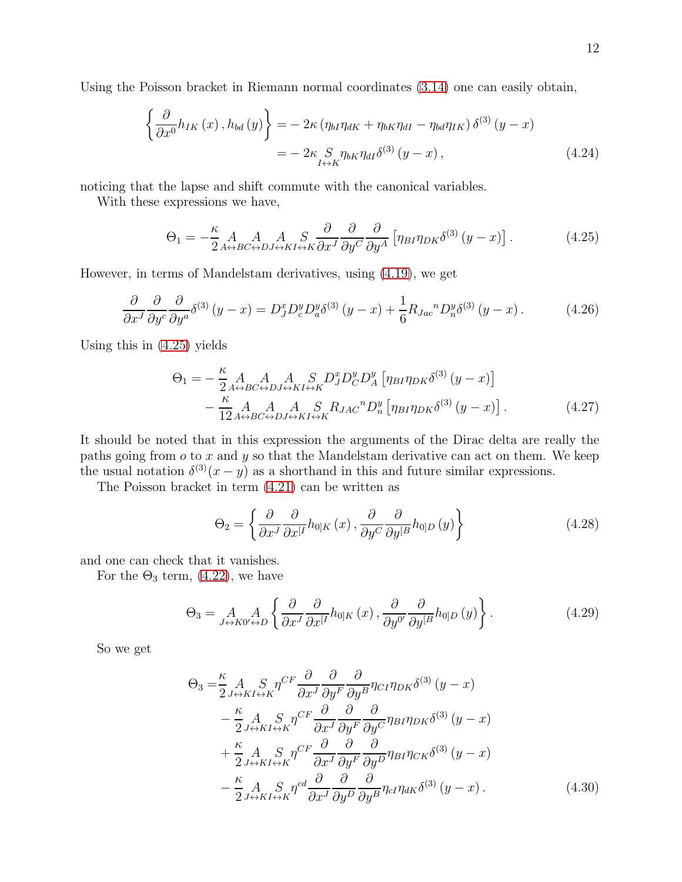Using the Poisson bracket in Riemann normal coordinates [\(3.14\)](#page-6-0) one can easily obtain,

$$
\begin{aligned} \left\{ \frac{\partial}{\partial x^{0}} h_{IK}(x), h_{bd}(y) \right\} &= -2\kappa \left( \eta_{bI} \eta_{dK} + \eta_{bK} \eta_{dI} - \eta_{bd} \eta_{IK} \right) \delta^{(3)} \left( y - x \right) \\ &= -2\kappa \int_{I \leftrightarrow K} \eta_{bK} \eta_{dI} \delta^{(3)} \left( y - x \right), \end{aligned} \tag{4.24}
$$

noticing that the lapse and shift commute with the canonical variables.

With these expressions we have,

<span id="page-12-0"></span>
$$
\Theta_1 = -\frac{\kappa}{2} A_{\leftrightarrow BC \leftrightarrow DJ \leftrightarrow K I \leftrightarrow K} \frac{\partial}{\partial x^J} \frac{\partial}{\partial y^C} \frac{\partial}{\partial y^A} \left[ \eta_{BI} \eta_{DK} \delta^{(3)}(y-x) \right]. \tag{4.25}
$$

However, in terms of Mandelstam derivatives, using [\(4.19\)](#page-11-3), we get

$$
\frac{\partial}{\partial x^J} \frac{\partial}{\partial y^c} \frac{\partial}{\partial y^a} \delta^{(3)}(y-x) = D^x_J D^y_c D^y_a \delta^{(3)}(y-x) + \frac{1}{6} R_{Jac}{}^n D^y_a \delta^{(3)}(y-x) \,. \tag{4.26}
$$

Using this in [\(4.25\)](#page-12-0) yields

$$
\Theta_{1} = -\frac{\kappa}{2} \underset{A \leftrightarrow BC \leftrightarrow DJ \leftrightarrow KI \leftrightarrow K}{A} \underset{A \leftrightarrow BC}{A} \underset{S}{S} \underset{D_{J}^{T} D_{C}^{y} D_{A}^{y}}{D_{C}^{T} D_{A}^{y}} \left[ \eta_{BI} \eta_{DK} \delta^{(3)} \left( y - x \right) \right] - \frac{\kappa}{12} \underset{A \leftrightarrow BC \leftrightarrow DJ \leftrightarrow KI \leftrightarrow K}{A} \underset{A \leftrightarrow K}{A} \underset{S}{S} \underset{R}{R} \underset{M \leftrightarrow K}{B} \eta_{D_{R}^{y}} \left[ \eta_{BI} \eta_{DK} \delta^{(3)} \left( y - x \right) \right]. \tag{4.27}
$$

It should be noted that in this expression the arguments of the Dirac delta are really the paths going from  $o$  to  $x$  and  $y$  so that the Mandelstam derivative can act on them. We keep the usual notation  $\delta^{(3)}(x-y)$  as a shorthand in this and future similar expressions.

The Poisson bracket in term [\(4.21\)](#page-11-4) can be written as

$$
\Theta_{2} = \left\{ \frac{\partial}{\partial x^{J}} \frac{\partial}{\partial x^{[I}} h_{0]K}(x), \frac{\partial}{\partial y^{C}} \frac{\partial}{\partial y^{[B}} h_{0]D}(y) \right\}
$$
(4.28)

and one can check that it vanishes.

For the  $\Theta_3$  term, [\(4.22\)](#page-11-5), we have

$$
\Theta_{3} = \underset{J \leftrightarrow K0' \leftrightarrow D}{A} \left\{ \frac{\partial}{\partial x^{J}} \frac{\partial}{\partial x^{[I}} h_{0]K} (x) \, , \frac{\partial}{\partial y^{0'}} \frac{\partial}{\partial y^{[B}} h_{0]D} (y) \right\}.
$$
 (4.29)

So we get

$$
\Theta_{3} = \frac{\kappa}{2} \sum_{J \leftrightarrow K I \leftrightarrow K} S_{K} \eta^{CF} \frac{\partial}{\partial x^{J}} \frac{\partial}{\partial y^{F}} \frac{\partial}{\partial y^{B}} \eta_{CI} \eta_{DK} \delta^{(3)} (y - x) \n- \frac{\kappa}{2} \sum_{J \leftrightarrow K I \leftrightarrow K} S_{K} \eta^{CF} \frac{\partial}{\partial x^{J}} \frac{\partial}{\partial y^{F}} \frac{\partial}{\partial y^{C}} \eta_{BI} \eta_{DK} \delta^{(3)} (y - x) \n+ \frac{\kappa}{2} \sum_{J \leftrightarrow K I \leftrightarrow K} S_{K} \eta^{CF} \frac{\partial}{\partial x^{J}} \frac{\partial}{\partial y^{F}} \frac{\partial}{\partial y^{D}} \eta_{BI} \eta_{CK} \delta^{(3)} (y - x) \n- \frac{\kappa}{2} \sum_{J \leftrightarrow K I \leftrightarrow K} S_{K} \eta^{cd} \frac{\partial}{\partial x^{J}} \frac{\partial}{\partial y^{D}} \frac{\partial}{\partial y^{B}} \eta_{CI} \eta_{dK} \delta^{(3)} (y - x).
$$
\n(4.30)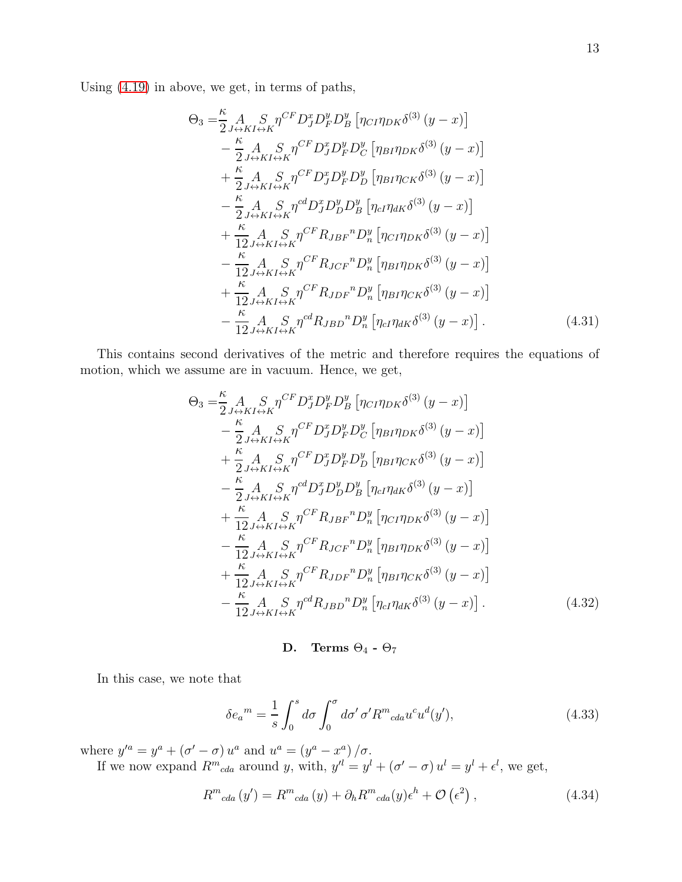Using [\(4.19\)](#page-11-3) in above, we get, in terms of paths,

$$
\Theta_{3} = \frac{\kappa}{2} \int_{J \leftrightarrow K I \leftrightarrow K} S_{K} \eta^{CF} D_{J}^{x} D_{F}^{y} D_{B}^{y} \left[ \eta_{CI} \eta_{DK} \delta^{(3)} \left( y - x \right) \right] \n- \frac{\kappa}{2} \int_{J \leftrightarrow K I \leftrightarrow K} S_{K} \eta^{CF} D_{J}^{x} D_{F}^{y} D_{C}^{y} \left[ \eta_{BI} \eta_{DK} \delta^{(3)} \left( y - x \right) \right] \n+ \frac{\kappa}{2} \int_{J \leftrightarrow K I \leftrightarrow K} S_{K} \eta^{CF} D_{J}^{x} D_{F}^{y} D_{D}^{y} \left[ \eta_{BI} \eta_{CK} \delta^{(3)} \left( y - x \right) \right] \n- \frac{\kappa}{2} \int_{J \leftrightarrow K I \leftrightarrow K} S_{K} \eta^{cd} D_{J}^{x} D_{D}^{y} D_{B}^{y} \left[ \eta_{CI} \eta_{dK} \delta^{(3)} \left( y - x \right) \right] \n+ \frac{\kappa}{12} \int_{J \leftrightarrow K I \leftrightarrow K} S_{K} \eta^{CF} R_{JBF}^{n} D_{n}^{y} \left[ \eta_{CI} \eta_{DK} \delta^{(3)} \left( y - x \right) \right] \n- \frac{\kappa}{12} \int_{J \leftrightarrow K I \leftrightarrow K} S_{K} \eta^{CF} R_{JCF}^{n} D_{n}^{y} \left[ \eta_{BI} \eta_{DK} \delta^{(3)} \left( y - x \right) \right] \n+ \frac{\kappa}{12} \int_{J \leftrightarrow K I \leftrightarrow K} S_{K} \eta^{CF} R_{JDF}^{n} D_{n}^{y} \left[ \eta_{BI} \eta_{CK} \delta^{(3)} \left( y - x \right) \right] \n- \frac{\kappa}{12} \int_{J \leftrightarrow K I \leftrightarrow K} S_{K} \eta^{cd} R_{JBD}^{n} D_{n}^{y} \left[ \eta_{CI} \eta_{dK} \delta^{(3)} \left( y - x \right) \right]. \tag{4.31}
$$

This contains second derivatives of the metric and therefore requires the equations of motion, which we assume are in vacuum. Hence, we get,

$$
\Theta_{3} = \frac{\kappa}{2} \int_{J \leftrightarrow K I \leftrightarrow K} S_{K} \eta^{CF} D_{J}^{x} D_{F}^{y} D_{B}^{y} \left[ \eta_{CI} \eta_{DK} \delta^{(3)} \left( y - x \right) \right] \n- \frac{\kappa}{2} \int_{J \leftrightarrow K I \leftrightarrow K} S_{K} \eta^{CF} D_{J}^{x} D_{F}^{y} D_{C}^{y} \left[ \eta_{BI} \eta_{DK} \delta^{(3)} \left( y - x \right) \right] \n+ \frac{\kappa}{2} \int_{J \leftrightarrow K I \leftrightarrow K} S_{K} \eta^{CF} D_{J}^{x} D_{F}^{y} D_{D}^{y} \left[ \eta_{BI} \eta_{CK} \delta^{(3)} \left( y - x \right) \right] \n- \frac{\kappa}{2} \int_{J \leftrightarrow K I \leftrightarrow K} S_{K} \eta^{cd} D_{J}^{x} D_{D}^{y} D_{B}^{y} \left[ \eta_{CI} \eta_{dK} \delta^{(3)} \left( y - x \right) \right] \n+ \frac{\kappa}{12} \int_{J \leftrightarrow K I \leftrightarrow K} S_{K} \eta^{CF} R_{JBF}^{n} D_{n}^{y} \left[ \eta_{CI} \eta_{DK} \delta^{(3)} \left( y - x \right) \right] \n- \frac{\kappa}{12} \int_{J \leftrightarrow K I \leftrightarrow K} S_{K} \eta^{CF} R_{JCF}^{n} D_{n}^{y} \left[ \eta_{BI} \eta_{DK} \delta^{(3)} \left( y - x \right) \right] \n+ \frac{\kappa}{12} \int_{J \leftrightarrow K I \leftrightarrow K} S_{K} \eta^{CF} R_{JDF}^{n} D_{n}^{y} \left[ \eta_{BI} \eta_{CK} \delta^{(3)} \left( y - x \right) \right] \n- \frac{\kappa}{12} \int_{J \leftrightarrow K I \leftrightarrow K} S_{K} \eta^{cd} R_{JBD}^{n} D_{n}^{y} \left[ \eta_{CI} \eta_{dK} \delta^{(3)} \left( y - x \right) \right]. \tag{4.32}
$$

# <span id="page-13-0"></span>D. Terms  $\Theta_4$  -  $\Theta_7$

In this case, we note that

$$
\delta e_a{}^m = \frac{1}{s} \int_0^s d\sigma \int_0^\sigma d\sigma' \sigma' R^m{}_{cda} u^c u^d(y'),\tag{4.33}
$$

where  $y'^a = y^a + (\sigma' - \sigma) u^a$  and  $u^a = (y^a - x^a) / \sigma$ .

If we now expand  $R^{m'}_{cda}$  around y, with,  $y^{l'} = y^{l} + (\sigma' - \sigma) u^{l} = y^{l} + \epsilon^{l}$ , we get,

$$
R^{m}{}_{cda}(y') = R^{m}{}_{cda}(y) + \partial_{h}R^{m}{}_{cda}(y)\epsilon^{h} + \mathcal{O}\left(\epsilon^{2}\right),\tag{4.34}
$$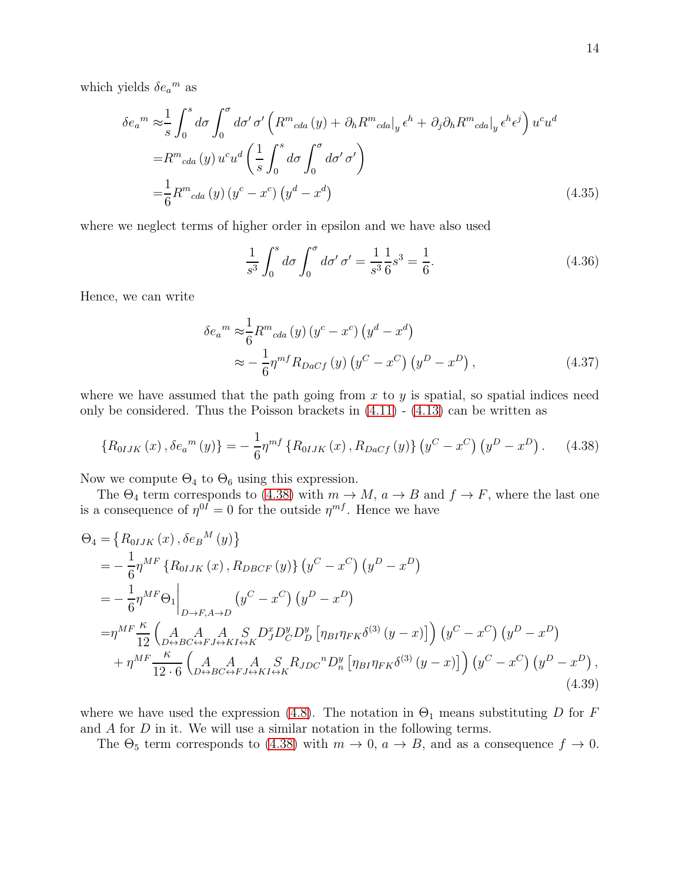which yields  $\delta e_a^m$  as

$$
\delta e_a{}^m \approx \frac{1}{s} \int_0^s d\sigma \int_0^{\sigma} d\sigma' \sigma' \left( R^m{}_{cda} (y) + \partial_h R^m{}_{cda} |_{y} \epsilon^h + \partial_j \partial_h R^m{}_{cda} |_{y} \epsilon^h \epsilon^j \right) u^c u^d
$$
  
\n
$$
= R^m{}_{cda} (y) u^c u^d \left( \frac{1}{s} \int_0^s d\sigma \int_0^{\sigma} d\sigma' \sigma' \right)
$$
  
\n
$$
= \frac{1}{6} R^m{}_{cda} (y) (y^c - x^c) (y^d - x^d)
$$
\n(4.35)

where we neglect terms of higher order in epsilon and we have also used

<span id="page-14-1"></span><span id="page-14-0"></span>
$$
\frac{1}{s^3} \int_0^s d\sigma \int_0^{\sigma} d\sigma' \sigma' = \frac{1}{s^3} \frac{1}{6} s^3 = \frac{1}{6}.
$$
 (4.36)

Hence, we can write

$$
\delta e_a{}^m \approx \frac{1}{6} R^m{}_{cda} (y) (y^c - x^c) (y^d - x^d)
$$
  

$$
\approx -\frac{1}{6} \eta^{mf} R_{DaCf} (y) (y^C - x^C) (y^D - x^D), \qquad (4.37)
$$

where we have assumed that the path going from  $x$  to  $y$  is spatial, so spatial indices need only be considered. Thus the Poisson brackets in  $(4.11)$  -  $(4.13)$  can be written as

$$
\{R_{0IJK}(x), \delta e_a{}^m(y)\} = -\frac{1}{6}\eta^{mf} \{R_{0IJK}(x), R_{DaCf}(y)\} (y^C - x^C) (y^D - x^D). \tag{4.38}
$$

Now we compute  $\Theta_4$  to  $\Theta_6$  using this expression.

The  $\Theta_4$  term corresponds to [\(4.38\)](#page-14-0) with  $m \to M$ ,  $a \to B$  and  $f \to F$ , where the last one is a consequence of  $\eta^{0I} = 0$  for the outside  $\eta^{mf}$ . Hence we have

$$
\Theta_{4} = \left\{ R_{0IJK} (x), \delta e_{B}{}^{M} (y) \right\} \n= -\frac{1}{6} \eta^{MF} \left\{ R_{0IJK} (x), R_{DBCF} (y) \right\} (y^{C} - x^{C}) (y^{D} - x^{D}) \n= -\frac{1}{6} \eta^{MF} \Theta_{1} \Big|_{D \to F, A \to D} (y^{C} - x^{C}) (y^{D} - x^{D}) \n= \eta^{MF} \frac{\kappa}{12} \left( A \frac{A}{D \leftrightarrow BC \leftrightarrow FJ \leftrightarrow KI \leftrightarrow K} B_{J}^{T} D_{C}^{y} D_{D}^{y} \left[ \eta_{BI} \eta_{FK} \delta^{(3)} (y - x) \right] \right) (y^{C} - x^{C}) (y^{D} - x^{D}) \n+ \eta^{MF} \frac{\kappa}{12 \cdot 6} \left( A \frac{A}{D \leftrightarrow BC \leftrightarrow FJ \leftrightarrow KI \leftrightarrow K} B_{JDC}{}^{n} D_{n}^{y} \left[ \eta_{BI} \eta_{FK} \delta^{(3)} (y - x) \right] \right) (y^{C} - x^{C}) (y^{D} - x^{D}),
$$
\n(4.39)

where we have used the expression [\(4.8\)](#page-10-1). The notation in  $\Theta_1$  means substituting D for F and A for D in it. We will use a similar notation in the following terms.

The  $\Theta_5$  term corresponds to [\(4.38\)](#page-14-0) with  $m \to 0$ ,  $a \to B$ , and as a consequence  $f \to 0$ .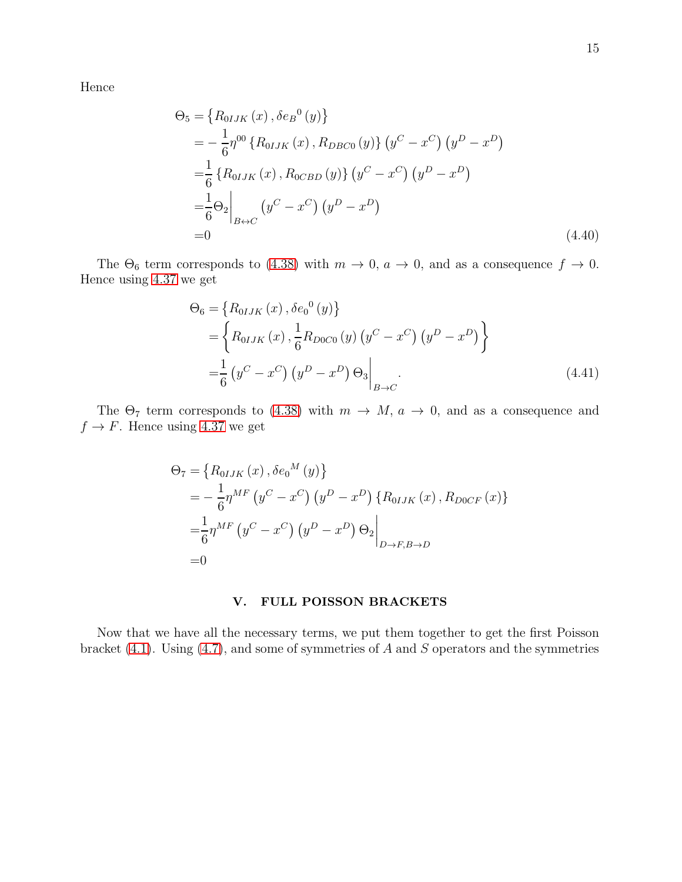Hence

$$
\Theta_{5} = \left\{ R_{0IJK}(x), \delta e_{B}^{0}(y) \right\} \n= -\frac{1}{6} \eta^{00} \left\{ R_{0IJK}(x), R_{DBC0}(y) \right\} (y^{C} - x^{C}) (y^{D} - x^{D}) \n= \frac{1}{6} \left\{ R_{0IJK}(x), R_{0CBD}(y) \right\} (y^{C} - x^{C}) (y^{D} - x^{D}) \n= \frac{1}{6} \Theta_{2} \Big|_{B \leftrightarrow C} (y^{C} - x^{C}) (y^{D} - x^{D}) \n= 0
$$
\n(4.40)

The  $\Theta_6$  term corresponds to [\(4.38\)](#page-14-0) with  $m \to 0$ ,  $a \to 0$ , and as a consequence  $f \to 0$ . Hence using [4.37](#page-14-1) we get

$$
\Theta_{6} = \{R_{0IJK}(x), \delta e_{0}^{0}(y)\}\
$$
  
= 
$$
\{R_{0IJK}(x), \frac{1}{6}R_{D0C0}(y)(y^{C} - x^{C})(y^{D} - x^{D})\}
$$
  
= 
$$
\frac{1}{6}(y^{C} - x^{C})(y^{D} - x^{D})\Theta_{3}\Big|_{B \to C}.
$$
 (4.41)

The  $\Theta_7$  term corresponds to [\(4.38\)](#page-14-0) with  $m \to M$ ,  $a \to 0$ , and as a consequence and  $f \rightarrow F$ . Hence using [4.37](#page-14-1) we get

$$
\Theta_{7} = \left\{ R_{0IJK} (x), \delta e_{0}{}^{M} (y) \right\} \n= -\frac{1}{6} \eta^{MF} (y^{C} - x^{C}) (y^{D} - x^{D}) \left\{ R_{0IJK} (x), R_{DOCF} (x) \right\} \n= \frac{1}{6} \eta^{MF} (y^{C} - x^{C}) (y^{D} - x^{D}) \Theta_{2} \Big|_{D \to F, B \to D} \n= 0
$$

### <span id="page-15-0"></span>V. FULL POISSON BRACKETS

Now that we have all the necessary terms, we put them together to get the first Poisson bracket  $(4.1)$ . Using  $(4.7)$ , and some of symmetries of A and S operators and the symmetries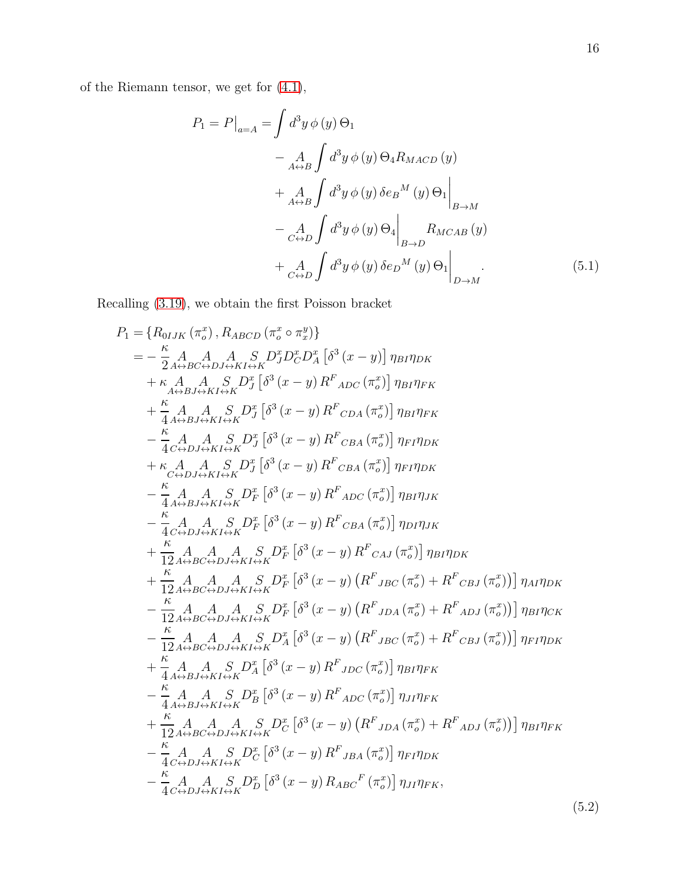of the Riemann tensor, we get for [\(4.1\)](#page-8-2),

$$
P_1 = P|_{a=A} = \int d^3y \phi(y) \Theta_1
$$
  
\n
$$
- \frac{A}{A \leftrightarrow B} \int d^3y \phi(y) \Theta_4 R_{MACD}(y)
$$
  
\n
$$
+ \frac{A}{A \leftrightarrow B} \int d^3y \phi(y) \delta e_B{}^M(y) \Theta_1 \Big|_{B \to M}
$$
  
\n
$$
- \frac{A}{C \leftrightarrow D} \int d^3y \phi(y) \Theta_4 \Big|_{B \to D} R_{MCAB}(y)
$$
  
\n
$$
+ \frac{A}{C \leftrightarrow D} \int d^3y \phi(y) \delta e_D{}^M(y) \Theta_1 \Big|_{D \to M}.
$$
 (5.1)

Recalling [\(3.19\)](#page-8-3), we obtain the first Poisson bracket

$$
P_{1} = \{R_{0IJK}(\pi_{o}^{x}), R_{ABCD}(\pi_{o}^{x} \circ \pi_{v}^{y})\}
$$
  
\n
$$
= -\frac{\kappa}{2} \frac{A}{A+B} \frac{A}{A+S} \sum_{j} D_{j}^{x} D_{C}^{x} D_{A}^{x} [\delta^{3}(x-y)] \eta_{BI} \eta_{DK}
$$
  
\n
$$
+ \frac{\kappa}{4} \frac{A}{A+B} \frac{A}{A+S} \sum_{j} D_{j}^{x} [\delta^{3}(x-y) R^{F} A(\pi_{o}^{x})] \eta_{BI} \eta_{FK}
$$
  
\n
$$
+ \frac{\kappa}{4} \frac{A}{A+B} \frac{A}{A+S} \sum_{j} D_{j}^{x} [\delta^{3}(x-y) R^{F} C_{DA} (\pi_{o}^{x})] \eta_{BI} \eta_{FK}
$$
  
\n
$$
- \frac{\kappa}{4} \frac{A}{A+B} \frac{A}{A+S} \sum_{j} D_{j}^{x} [\delta^{3}(x-y) R^{F} C_{BA} (\pi_{o}^{x})] \eta_{FI} \eta_{DK}
$$
  
\n
$$
+ \frac{\kappa}{4} \frac{A}{A+B} \frac{A}{A+S} \sum_{j} D_{j}^{x} [\delta^{3}(x-y) R^{F} C_{BA} (\pi_{o}^{x})] \eta_{FI} \eta_{DK}
$$
  
\n
$$
- \frac{\kappa}{4} \frac{A}{A+B} \frac{A}{A+S} \sum_{j} D_{j}^{x} [\delta^{3}(x-y) R^{F} A_{DC} (\pi_{o}^{x})] \eta_{BI} \eta_{JK}
$$
  
\n
$$
+ \frac{\kappa}{12} \frac{A}{A+B} \frac{A}{A+B} \frac{A}{A+S} \sum_{j} P_{j}^{x} [\delta^{3}(x-y) R^{F} C_{BA} (\pi_{o}^{x})] \eta_{BI} \eta_{DK}
$$
  
\n
$$
+ \frac{\kappa}{12} \frac{A}{A+B} \frac{A}{A+B} \frac{A}{A+S} \sum_{j} P_{j}^{x} [\delta^{3}(x-y) R^{F} C_{AI} (\pi_{o}^{x})] \eta_{BI} \eta_{DK}
$$
  
\n
$$
- \frac{\kappa}{12} \frac{A}{A+B} \frac{A}{A+B
$$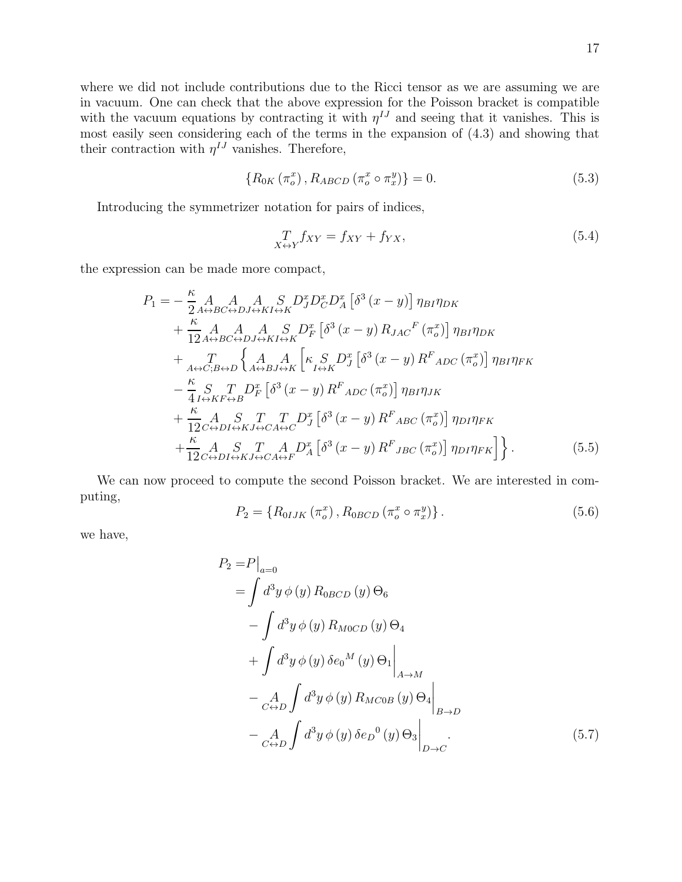where we did not include contributions due to the Ricci tensor as we are assuming we are in vacuum. One can check that the above expression for the Poisson bracket is compatible with the vacuum equations by contracting it with  $\eta^{IJ}$  and seeing that it vanishes. This is most easily seen considering each of the terms in the expansion of (4.3) and showing that their contraction with  $\eta^{IJ}$  vanishes. Therefore,

$$
\{R_{0K}(\pi_o^x), R_{ABCD}(\pi_o^x \circ \pi_x^y)\} = 0.
$$
\n(5.3)

Introducing the symmetrizer notation for pairs of indices,

$$
\underset{X \leftrightarrow Y}{T} f_{XY} = f_{XY} + f_{YX},\tag{5.4}
$$

the expression can be made more compact,

P<sup>1</sup> = − κ 2 A A↔B A C↔D A J↔K S I↔K D x <sup>J</sup>D x <sup>C</sup>D x A δ 3 (x − y) ηBIηDK + κ 12 A A↔B A C↔D A J↔K S I↔K D x F δ 3 (x − y) RJAC F (π x o ) ηBIηDK + T A↔C;B↔D n A A↔B A J↔K h κ S I↔K D x J δ 3 (x − y) R F ADC (π x o ) ηBIηF K − κ 4 S I↔K T F↔B D x F δ 3 (x − y) R F ADC (π x o ) ηBIηJK + κ 12 A C↔D S I↔K T J↔C T A↔C D x J δ 3 (x − y) R F ABC (π x o ) ηDIηF K + κ 12 A C↔D S I↔K T J↔C A A↔F D x A δ 3 (x − y) R F JBC (π x o ) <sup>η</sup>DIηF Kio . (5.5)

We can now proceed to compute the second Poisson bracket. We are interested in computing,

$$
P_2 = \{ R_{0IJK} (\pi_o^x), R_{0BCD} (\pi_o^x \circ \pi_x^y) \}.
$$
 (5.6)

we have,

$$
P_2 = P|_{a=0}
$$
  
=  $\int d^3y \phi(y) R_{0BCD}(y) \Theta_6$   
 $- \int d^3y \phi(y) R_{MOCD}(y) \Theta_4$   
+  $\int d^3y \phi(y) \delta e_0^M(y) \Theta_1|_{A \to M}$   
 $- \frac{A}{C \leftrightarrow D} \int d^3y \phi(y) R_{MCOB}(y) \Theta_4|_{B \to D}$   
 $- \frac{A}{C \leftrightarrow D} \int d^3y \phi(y) \delta e_D^0(y) \Theta_3|_{D \to C}$  (5.7)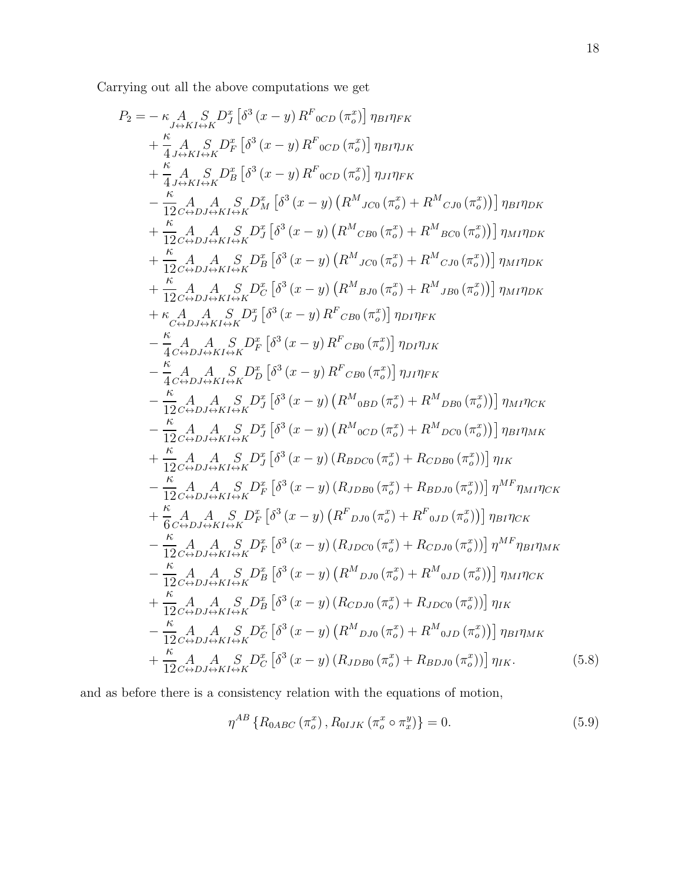Carrying out all the above computations we get

P<sup>2</sup> = − κ A J↔K S I↔K D x J δ 3 (x − y) R F <sup>0</sup>CD (π x o ) ηBIηF K + κ 4 A J↔K S I↔K D x F δ 3 (x − y) R F <sup>0</sup>CD (π x o ) ηBIηJK + κ 4 A J↔K S I↔K D x B δ 3 (x − y) R F <sup>0</sup>CD (π x o ) ηJIηF K − κ 12 A C↔D A J↔K S I↔K D x M δ 3 (x − y) R M JC<sup>0</sup> (π x o ) + R M CJ<sup>0</sup> (π x o ) ηBIηDK + κ 12 A C↔D A J↔K S I↔K D x J δ 3 (x − y) R M CB<sup>0</sup> (π x o ) + R M BC<sup>0</sup> (π x o ) ηMIηDK + κ 12 A C↔D A J↔K S I↔K D x B δ 3 (x − y) R M JC<sup>0</sup> (π x o ) + R M CJ<sup>0</sup> (π x o ) ηMIηDK + κ 12 A C↔D A J↔K S I↔K D x C δ 3 (x − y) R M BJ<sup>0</sup> (π x o ) + R M JB<sup>0</sup> (π x o ) ηMIηDK + κ A C↔D A J↔K S I↔K D x J δ 3 (x − y) R F CB<sup>0</sup> (π x o ) ηDIηF K − κ 4 A C↔D A J↔K S I↔K D x F δ 3 (x − y) R F CB<sup>0</sup> (π x o ) ηDIηJK − κ 4 A C↔D A J↔K S I↔K D x D δ 3 (x − y) R F CB<sup>0</sup> (π x o ) ηJIηF K − κ 12 A C↔D A J↔K S I↔K D x J δ 3 (x − y) R M <sup>0</sup>BD (π x o ) + R M DB<sup>0</sup> (π x o ) ηMIηCK − κ 12 A C↔D A J↔K S I↔K D x J δ 3 (x − y) R M <sup>0</sup>CD (π x o ) + R M DC<sup>0</sup> (π x o ) ηBIηMK + κ 12 A C↔D A J↔K S I↔K D x J δ 3 (x − y) (RBDC<sup>0</sup> (π x o ) + RCDB<sup>0</sup> (π x o )) ηIK − κ 12 A C↔D A J↔K S I↔K D x F δ 3 (x − y) (RJDB<sup>0</sup> (π x o ) + RBDJ<sup>0</sup> (π x o )) η MF ηMIηCK + κ 6 A C↔D A J↔K S I↔K D x F δ 3 (x − y) R F DJ<sup>0</sup> (π x o ) + R F <sup>0</sup>JD (π x o ) ηBIηCK − κ 12 A C↔D A J↔K S I↔K D x F δ 3 (x − y) (RJDC<sup>0</sup> (π x o ) + RCDJ<sup>0</sup> (π x o )) η MF ηBIηMK − κ 12 A C↔D A J↔K S I↔K D x B δ 3 (x − y) R M DJ<sup>0</sup> (π x o ) + R M <sup>0</sup>JD (π x o ) ηMIηCK + κ 12 A C↔D A J↔K S I↔K D x B δ 3 (x − y) (RCDJ<sup>0</sup> (π x o ) + RJDC<sup>0</sup> (π x o )) ηIK − κ 12 A C↔D A J↔K S I↔K D x C δ 3 (x − y) R M DJ<sup>0</sup> (π x o ) + R M <sup>0</sup>JD (π x o ) ηBIηMK + κ 12 A C↔D A J↔K S I↔K D x C δ 3 (x − y) (RJDB<sup>0</sup> (π x o ) + RBDJ<sup>0</sup> (π x o )) ηIK. (5.8)

and as before there is a consistency relation with the equations of motion,

$$
\eta^{AB} \{ R_{0ABC} (\pi_o^x), R_{0IJK} (\pi_o^x \circ \pi_x^y) \} = 0.
$$
\n(5.9)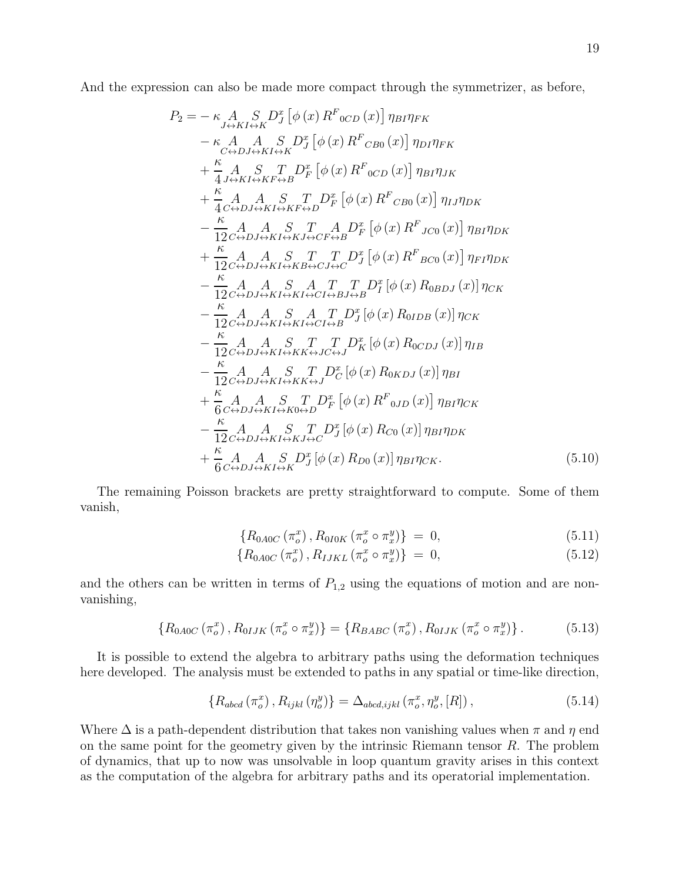And the expression can also be made more compact through the symmetrizer, as before,

$$
P_2 = -\kappa \int_{A} S_{A} S_{A} D_{J}^{x} [\phi(x) R^{F}_{0CD}(x)] \eta_{BI} \eta_{FK}
$$
  
\t
$$
-\kappa \int_{C \leftrightarrow DJ \leftrightarrow KI \leftrightarrow K} S_{J}^{x} [\phi(x) R^{F}_{CBO}(x)] \eta_{DI} \eta_{FK}
$$
  
\t
$$
+\frac{\kappa}{4} \int_{A} S_{K} T_{A} D_{F}^{x} [\phi(x) R^{F}_{0CD}(x)] \eta_{BI} \eta_{JK}
$$
  
\t
$$
+\frac{\kappa}{4} \int_{C \leftrightarrow DJ \leftrightarrow KI \leftrightarrow KF \leftrightarrow D} D_{F}^{x} [\phi(x) R^{F}_{CBO}(x)] \eta_{IJ} \eta_{DK}
$$
  
\t
$$
-\frac{\kappa}{12} \int_{C \leftrightarrow DJ \leftrightarrow KI \leftrightarrow KJ \leftrightarrow CF \leftrightarrow B} [\phi(x) R^{F}_{JCO}(x)] \eta_{BI} \eta_{DK}
$$
  
\t
$$
+\frac{\kappa}{12} \int_{C \leftrightarrow DJ \leftrightarrow KI \leftrightarrow KJ \leftrightarrow CF \leftrightarrow B} [\phi(x) R^{F}_{JCO}(x)] \eta_{FI} \eta_{DK}
$$
  
\t
$$
-\frac{\kappa}{12} \int_{C \leftrightarrow DJ \leftrightarrow KI \leftrightarrow KI \leftrightarrow CJ \leftrightarrow C} D_{J}^{x} [\phi(x) R^{F}_{BCO}(x)] \eta_{CK}
$$
  
\t
$$
-\frac{\kappa}{12} \int_{C \leftrightarrow DJ \leftrightarrow KI \leftrightarrow KI \leftrightarrow CI \leftrightarrow BJ \leftrightarrow B} D_{I}^{x} [\phi(x) R_{0BDJ}(x)] \eta_{CK}
$$
  
\t
$$
-\frac{\kappa}{12} \int_{C \leftrightarrow DJ \leftrightarrow KI \leftrightarrow KI \leftrightarrow CI \leftrightarrow J} D_{K}^{x} [\phi(x) R_{0CDJ}(x)] \eta_{IB}
$$
  
\t
$$
-\frac{\kappa}{12} \int_{C \leftrightarrow DJ \leftrightarrow KI \leftrightarrow KK \leftrightarrow JC \leftrightarrow J} D_{F}^{x} [\phi(x) R_{0CDJ}(x)] \eta_{BI}
$$
  
\t
$$
+\frac{\kappa}{6} \int_{C \leftrightarrow DJ \leftrightarrow KI \leftrightarrow KK \leftrightarrow J} D_{F}^{x} [\phi(x) R_{0LDJ}(x)] \eta_{BI} \eta_{CK}
$$
  
\t
$$
-\frac{\kappa}{12} \int_{C \leftrightarrow DJ \leftrightarrow KI \leftrightarrow KJ \leftrightarrow
$$

The remaining Poisson brackets are pretty straightforward to compute. Some of them vanish,

$$
\{R_{0A0C}(\pi_o^x), R_{0I0K}(\pi_o^x \circ \pi_x^y)\} = 0, \tag{5.11}
$$

$$
\{R_{0A0C}(\pi_o^x), R_{IJKL}(\pi_o^x \circ \pi_x^y)\} = 0, \tag{5.12}
$$

and the others can be written in terms of  $P_{1,2}$  using the equations of motion and are nonvanishing,

$$
\{R_{0A0C}(\pi_o^x), R_{0IJK}(\pi_o^x \circ \pi_x^y)\} = \{R_{BABC}(\pi_o^x), R_{0IJK}(\pi_o^x \circ \pi_x^y)\}.
$$
 (5.13)

It is possible to extend the algebra to arbitrary paths using the deformation techniques here developed. The analysis must be extended to paths in any spatial or time-like direction,

$$
\{R_{abcd}\left(\pi_o^x\right), R_{ijkl}\left(\eta_o^y\right)\} = \Delta_{abcd,ijkl}\left(\pi_o^x, \eta_o^y, [R]\right),\tag{5.14}
$$

Where  $\Delta$  is a path-dependent distribution that takes non vanishing values when  $\pi$  and  $\eta$  end on the same point for the geometry given by the intrinsic Riemann tensor  $R$ . The problem of dynamics, that up to now was unsolvable in loop quantum gravity arises in this context as the computation of the algebra for arbitrary paths and its operatorial implementation.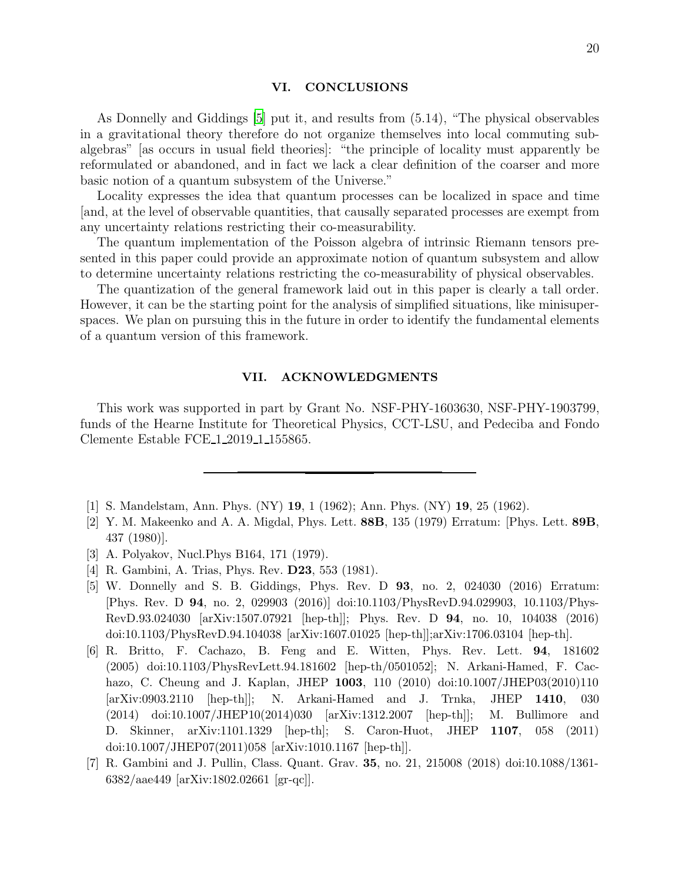#### <span id="page-20-0"></span>VI. CONCLUSIONS

As Donnelly and Giddings [\[5\]](#page-20-7) put it, and results from (5.14), "The physical observables in a gravitational theory therefore do not organize themselves into local commuting subalgebras" [as occurs in usual field theories]: "the principle of locality must apparently be reformulated or abandoned, and in fact we lack a clear definition of the coarser and more basic notion of a quantum subsystem of the Universe."

Locality expresses the idea that quantum processes can be localized in space and time [and, at the level of observable quantities, that causally separated processes are exempt from any uncertainty relations restricting their co-measurability.

The quantum implementation of the Poisson algebra of intrinsic Riemann tensors presented in this paper could provide an approximate notion of quantum subsystem and allow to determine uncertainty relations restricting the co-measurability of physical observables.

The quantization of the general framework laid out in this paper is clearly a tall order. However, it can be the starting point for the analysis of simplified situations, like minisuperspaces. We plan on pursuing this in the future in order to identify the fundamental elements of a quantum version of this framework.

#### <span id="page-20-2"></span><span id="page-20-1"></span>VII. ACKNOWLEDGMENTS

This work was supported in part by Grant No. NSF-PHY-1603630, NSF-PHY-1903799, funds of the Hearne Institute for Theoretical Physics, CCT-LSU, and Pedeciba and Fondo Clemente Estable FCE 1 2019 1 155865.

- <span id="page-20-3"></span>[1] S. Mandelstam, Ann. Phys. (NY) 19, 1 (1962); Ann. Phys. (NY) 19, 25 (1962).
- <span id="page-20-4"></span>[2] Y. M. Makeenko and A. A. Migdal, Phys. Lett. 88B, 135 (1979) Erratum: [Phys. Lett. 89B, 437 (1980)].
- <span id="page-20-5"></span>[3] A. Polyakov, Nucl.Phys B164, 171 (1979).
- <span id="page-20-6"></span>[4] R. Gambini, A. Trias, Phys. Rev. D23, 553 (1981).
- <span id="page-20-7"></span>[5] W. Donnelly and S. B. Giddings, Phys. Rev. D 93, no. 2, 024030 (2016) Erratum: [Phys. Rev. D 94, no. 2, 029903 (2016)] doi:10.1103/PhysRevD.94.029903, 10.1103/Phys-RevD.93.024030 [arXiv:1507.07921 [hep-th]]; Phys. Rev. D 94, no. 10, 104038 (2016) doi:10.1103/PhysRevD.94.104038 [arXiv:1607.01025 [hep-th]];arXiv:1706.03104 [hep-th].
- <span id="page-20-8"></span>[6] R. Britto, F. Cachazo, B. Feng and E. Witten, Phys. Rev. Lett. 94, 181602 (2005) doi:10.1103/PhysRevLett.94.181602 [hep-th/0501052]; N. Arkani-Hamed, F. Cachazo, C. Cheung and J. Kaplan, JHEP 1003, 110 (2010) doi:10.1007/JHEP03(2010)110 [arXiv:0903.2110 [hep-th]]; N. Arkani-Hamed and J. Trnka, JHEP 1410, 030 (2014) doi:10.1007/JHEP10(2014)030 [arXiv:1312.2007 [hep-th]]; M. Bullimore and D. Skinner, arXiv:1101.1329 [hep-th]; S. Caron-Huot, JHEP 1107, 058 (2011) doi:10.1007/JHEP07(2011)058 [arXiv:1010.1167 [hep-th]].
- <span id="page-20-9"></span>[7] R. Gambini and J. Pullin, Class. Quant. Grav. 35, no. 21, 215008 (2018) doi:10.1088/1361- 6382/aae449 [arXiv:1802.02661 [gr-qc]].